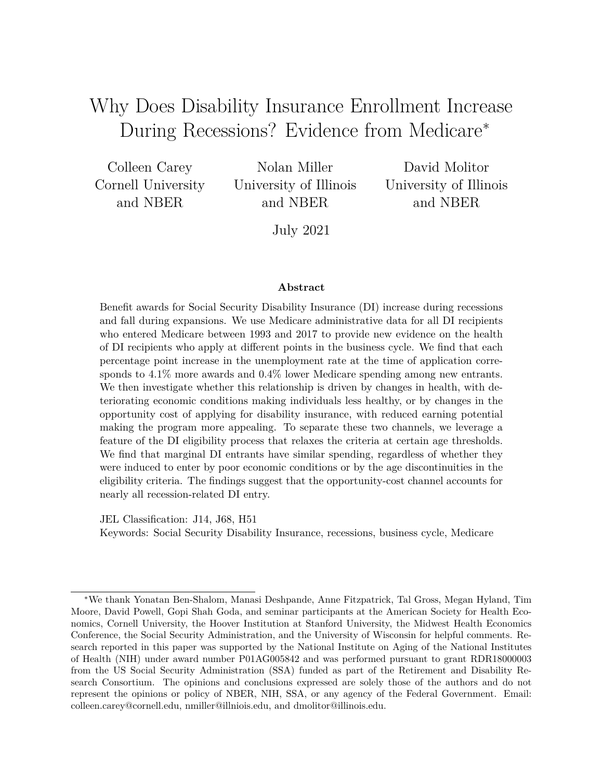# Why Does Disability Insurance Enrollment Increase During Recessions? Evidence from Medicare<sup>∗</sup>

Colleen Carey Cornell University and NBER

Nolan Miller University of Illinois and NBER

David Molitor University of Illinois and NBER

July 2021

#### **Abstract**

Benefit awards for Social Security Disability Insurance (DI) increase during recessions and fall during expansions. We use Medicare administrative data for all DI recipients who entered Medicare between 1993 and 2017 to provide new evidence on the health of DI recipients who apply at different points in the business cycle. We find that each percentage point increase in the unemployment rate at the time of application corresponds to 4.1% more awards and 0.4% lower Medicare spending among new entrants. We then investigate whether this relationship is driven by changes in health, with deteriorating economic conditions making individuals less healthy, or by changes in the opportunity cost of applying for disability insurance, with reduced earning potential making the program more appealing. To separate these two channels, we leverage a feature of the DI eligibility process that relaxes the criteria at certain age thresholds. We find that marginal DI entrants have similar spending, regardless of whether they were induced to enter by poor economic conditions or by the age discontinuities in the eligibility criteria. The findings suggest that the opportunity-cost channel accounts for nearly all recession-related DI entry.

JEL Classification: J14, J68, H51

Keywords: Social Security Disability Insurance, recessions, business cycle, Medicare

<sup>∗</sup>We thank Yonatan Ben-Shalom, Manasi Deshpande, Anne Fitzpatrick, Tal Gross, Megan Hyland, Tim Moore, David Powell, Gopi Shah Goda, and seminar participants at the American Society for Health Economics, Cornell University, the Hoover Institution at Stanford University, the Midwest Health Economics Conference, the Social Security Administration, and the University of Wisconsin for helpful comments. Research reported in this paper was supported by the National Institute on Aging of the National Institutes of Health (NIH) under award number P01AG005842 and was performed pursuant to grant RDR18000003 from the US Social Security Administration (SSA) funded as part of the Retirement and Disability Research Consortium. The opinions and conclusions expressed are solely those of the authors and do not represent the opinions or policy of NBER, NIH, SSA, or any agency of the Federal Government. Email: colleen.carey@cornell.edu, nmiller@illniois.edu, and dmolitor@illinois.edu.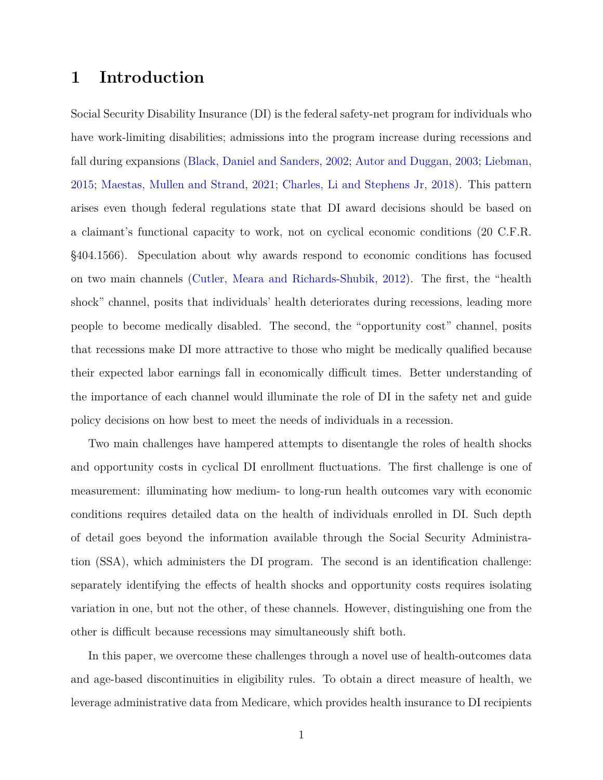### <span id="page-1-0"></span>**1 Introduction**

Social Security Disability Insurance (DI) is the federal safety-net program for individuals who have work-limiting disabilities; admissions into the program increase during recessions and fall during expansions [\(Black, Daniel and Sanders,](#page-32-0) [2002;](#page-32-0) [Autor and Duggan,](#page-32-1) [2003;](#page-32-1) [Liebman,](#page-33-0) [2015;](#page-33-0) [Maestas, Mullen and Strand,](#page-33-1) [2021;](#page-33-1) [Charles, Li and Stephens Jr,](#page-32-2) [2018\)](#page-32-2). This pattern arises even though federal regulations state that DI award decisions should be based on a claimant's functional capacity to work, not on cyclical economic conditions (20 C.F.R. §404.1566). Speculation about why awards respond to economic conditions has focused on two main channels [\(Cutler, Meara and Richards-Shubik,](#page-32-3) [2012\)](#page-32-3). The first, the "health shock" channel, posits that individuals' health deteriorates during recessions, leading more people to become medically disabled. The second, the "opportunity cost" channel, posits that recessions make DI more attractive to those who might be medically qualified because their expected labor earnings fall in economically difficult times. Better understanding of the importance of each channel would illuminate the role of DI in the safety net and guide policy decisions on how best to meet the needs of individuals in a recession.

Two main challenges have hampered attempts to disentangle the roles of health shocks and opportunity costs in cyclical DI enrollment fluctuations. The first challenge is one of measurement: illuminating how medium- to long-run health outcomes vary with economic conditions requires detailed data on the health of individuals enrolled in DI. Such depth of detail goes beyond the information available through the Social Security Administration (SSA), which administers the DI program. The second is an identification challenge: separately identifying the effects of health shocks and opportunity costs requires isolating variation in one, but not the other, of these channels. However, distinguishing one from the other is difficult because recessions may simultaneously shift both.

In this paper, we overcome these challenges through a novel use of health-outcomes data and age-based discontinuities in eligibility rules. To obtain a direct measure of health, we leverage administrative data from Medicare, which provides health insurance to DI recipients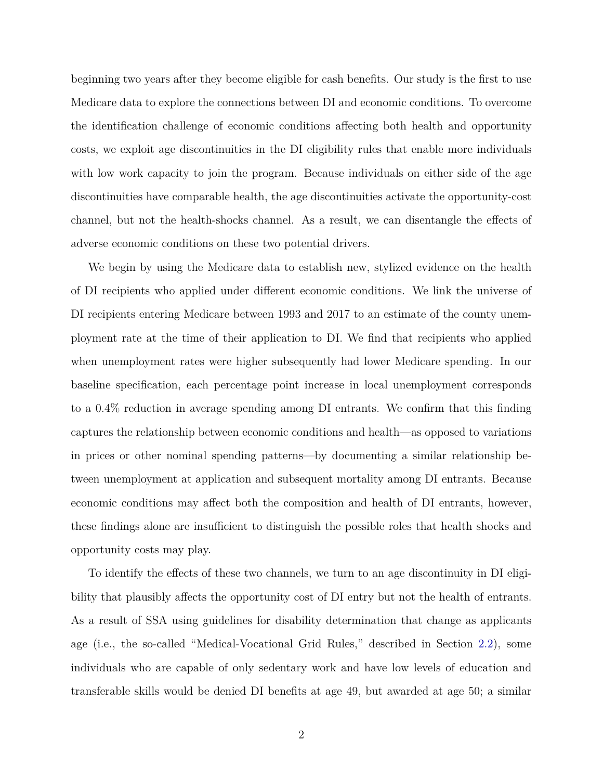beginning two years after they become eligible for cash benefits. Our study is the first to use Medicare data to explore the connections between DI and economic conditions. To overcome the identification challenge of economic conditions affecting both health and opportunity costs, we exploit age discontinuities in the DI eligibility rules that enable more individuals with low work capacity to join the program. Because individuals on either side of the age discontinuities have comparable health, the age discontinuities activate the opportunity-cost channel, but not the health-shocks channel. As a result, we can disentangle the effects of adverse economic conditions on these two potential drivers.

We begin by using the Medicare data to establish new, stylized evidence on the health of DI recipients who applied under different economic conditions. We link the universe of DI recipients entering Medicare between 1993 and 2017 to an estimate of the county unemployment rate at the time of their application to DI. We find that recipients who applied when unemployment rates were higher subsequently had lower Medicare spending. In our baseline specification, each percentage point increase in local unemployment corresponds to a 0.4% reduction in average spending among DI entrants. We confirm that this finding captures the relationship between economic conditions and health—as opposed to variations in prices or other nominal spending patterns—by documenting a similar relationship between unemployment at application and subsequent mortality among DI entrants. Because economic conditions may affect both the composition and health of DI entrants, however, these findings alone are insufficient to distinguish the possible roles that health shocks and opportunity costs may play.

To identify the effects of these two channels, we turn to an age discontinuity in DI eligibility that plausibly affects the opportunity cost of DI entry but not the health of entrants. As a result of SSA using guidelines for disability determination that change as applicants age (i.e., the so-called "Medical-Vocational Grid Rules," described in Section [2.2\)](#page-10-0), some individuals who are capable of only sedentary work and have low levels of education and transferable skills would be denied DI benefits at age 49, but awarded at age 50; a similar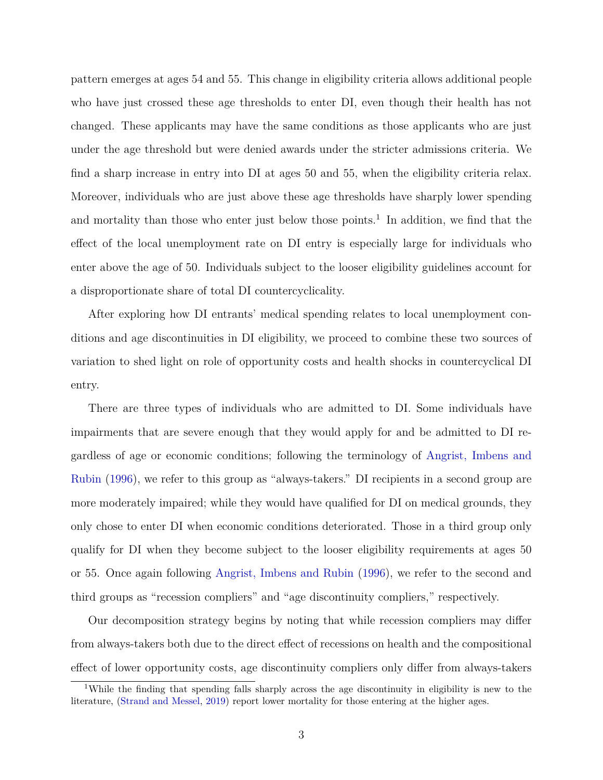pattern emerges at ages 54 and 55. This change in eligibility criteria allows additional people who have just crossed these age thresholds to enter DI, even though their health has not changed. These applicants may have the same conditions as those applicants who are just under the age threshold but were denied awards under the stricter admissions criteria. We find a sharp increase in entry into DI at ages 50 and 55, when the eligibility criteria relax. Moreover, individuals who are just above these age thresholds have sharply lower spending and mortality than those who enter just below those points.<sup>1</sup> In addition, we find that the effect of the local unemployment rate on DI entry is especially large for individuals who enter above the age of 50. Individuals subject to the looser eligibility guidelines account for a disproportionate share of total DI countercyclicality.

After exploring how DI entrants' medical spending relates to local unemployment conditions and age discontinuities in DI eligibility, we proceed to combine these two sources of variation to shed light on role of opportunity costs and health shocks in countercyclical DI entry.

There are three types of individuals who are admitted to DI. Some individuals have impairments that are severe enough that they would apply for and be admitted to DI regardless of age or economic conditions; following the terminology of [Angrist, Imbens and](#page-32-4) [Rubin](#page-32-4) [\(1996\)](#page-32-4), we refer to this group as "always-takers." DI recipients in a second group are more moderately impaired; while they would have qualified for DI on medical grounds, they only chose to enter DI when economic conditions deteriorated. Those in a third group only qualify for DI when they become subject to the looser eligibility requirements at ages 50 or 55. Once again following [Angrist, Imbens and Rubin](#page-32-4) [\(1996\)](#page-32-4), we refer to the second and third groups as "recession compliers" and "age discontinuity compliers," respectively.

Our decomposition strategy begins by noting that while recession compliers may differ from always-takers both due to the direct effect of recessions on health and the compositional effect of lower opportunity costs, age discontinuity compliers only differ from always-takers

<sup>1</sup>While the finding that spending falls sharply across the age discontinuity in eligibility is new to the literature, [\(Strand and Messel,](#page-34-0) [2019\)](#page-34-0) report lower mortality for those entering at the higher ages.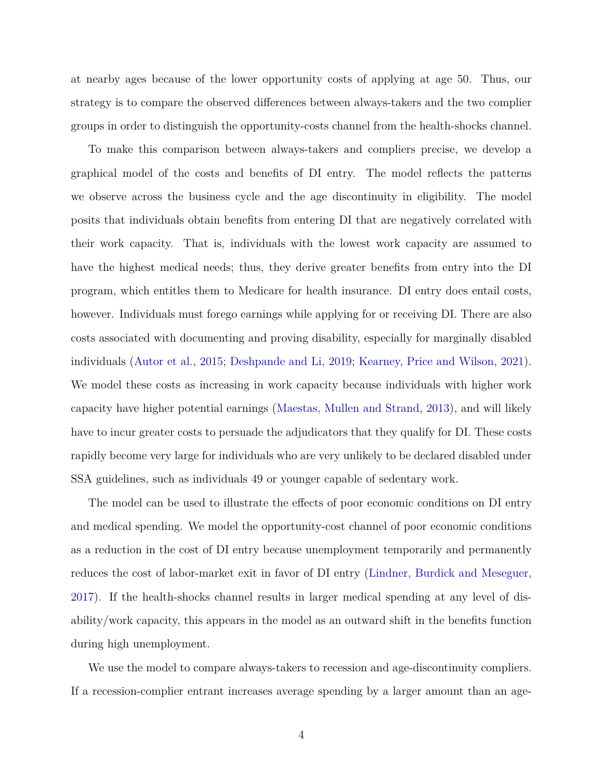at nearby ages because of the lower opportunity costs of applying at age 50. Thus, our strategy is to compare the observed differences between always-takers and the two complier groups in order to distinguish the opportunity-costs channel from the health-shocks channel.

To make this comparison between always-takers and compliers precise, we develop a graphical model of the costs and benefits of DI entry. The model reflects the patterns we observe across the business cycle and the age discontinuity in eligibility. The model posits that individuals obtain benefits from entering DI that are negatively correlated with their work capacity. That is, individuals with the lowest work capacity are assumed to have the highest medical needs; thus, they derive greater benefits from entry into the DI program, which entitles them to Medicare for health insurance. DI entry does entail costs, however. Individuals must forego earnings while applying for or receiving DI. There are also costs associated with documenting and proving disability, especially for marginally disabled individuals [\(Autor et al.,](#page-32-5) [2015;](#page-32-5) [Deshpande and Li,](#page-33-2) [2019;](#page-33-2) [Kearney, Price and Wilson,](#page-33-3) [2021\)](#page-33-3). We model these costs as increasing in work capacity because individuals with higher work capacity have higher potential earnings [\(Maestas, Mullen and Strand,](#page-33-4) [2013\)](#page-33-4), and will likely have to incur greater costs to persuade the adjudicators that they qualify for DI. These costs rapidly become very large for individuals who are very unlikely to be declared disabled under SSA guidelines, such as individuals 49 or younger capable of sedentary work.

The model can be used to illustrate the effects of poor economic conditions on DI entry and medical spending. We model the opportunity-cost channel of poor economic conditions as a reduction in the cost of DI entry because unemployment temporarily and permanently reduces the cost of labor-market exit in favor of DI entry [\(Lindner, Burdick and Meseguer,](#page-33-5) [2017\)](#page-33-5). If the health-shocks channel results in larger medical spending at any level of disability/work capacity, this appears in the model as an outward shift in the benefits function during high unemployment.

We use the model to compare always-takers to recession and age-discontinuity compliers. If a recession-complier entrant increases average spending by a larger amount than an age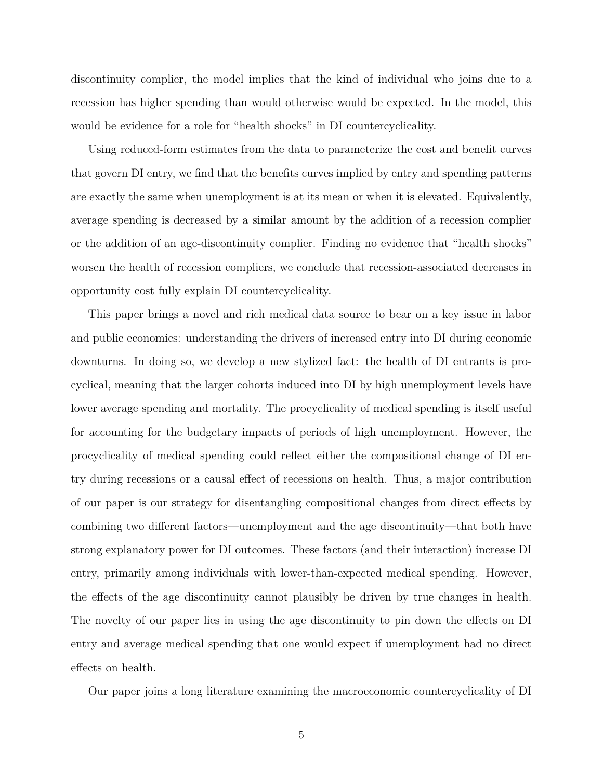discontinuity complier, the model implies that the kind of individual who joins due to a recession has higher spending than would otherwise would be expected. In the model, this would be evidence for a role for "health shocks" in DI countercyclicality.

Using reduced-form estimates from the data to parameterize the cost and benefit curves that govern DI entry, we find that the benefits curves implied by entry and spending patterns are exactly the same when unemployment is at its mean or when it is elevated. Equivalently, average spending is decreased by a similar amount by the addition of a recession complier or the addition of an age-discontinuity complier. Finding no evidence that "health shocks" worsen the health of recession compliers, we conclude that recession-associated decreases in opportunity cost fully explain DI countercyclicality.

This paper brings a novel and rich medical data source to bear on a key issue in labor and public economics: understanding the drivers of increased entry into DI during economic downturns. In doing so, we develop a new stylized fact: the health of DI entrants is procyclical, meaning that the larger cohorts induced into DI by high unemployment levels have lower average spending and mortality. The procyclicality of medical spending is itself useful for accounting for the budgetary impacts of periods of high unemployment. However, the procyclicality of medical spending could reflect either the compositional change of DI entry during recessions or a causal effect of recessions on health. Thus, a major contribution of our paper is our strategy for disentangling compositional changes from direct effects by combining two different factors—unemployment and the age discontinuity—that both have strong explanatory power for DI outcomes. These factors (and their interaction) increase DI entry, primarily among individuals with lower-than-expected medical spending. However, the effects of the age discontinuity cannot plausibly be driven by true changes in health. The novelty of our paper lies in using the age discontinuity to pin down the effects on DI entry and average medical spending that one would expect if unemployment had no direct effects on health.

Our paper joins a long literature examining the macroeconomic countercyclicality of DI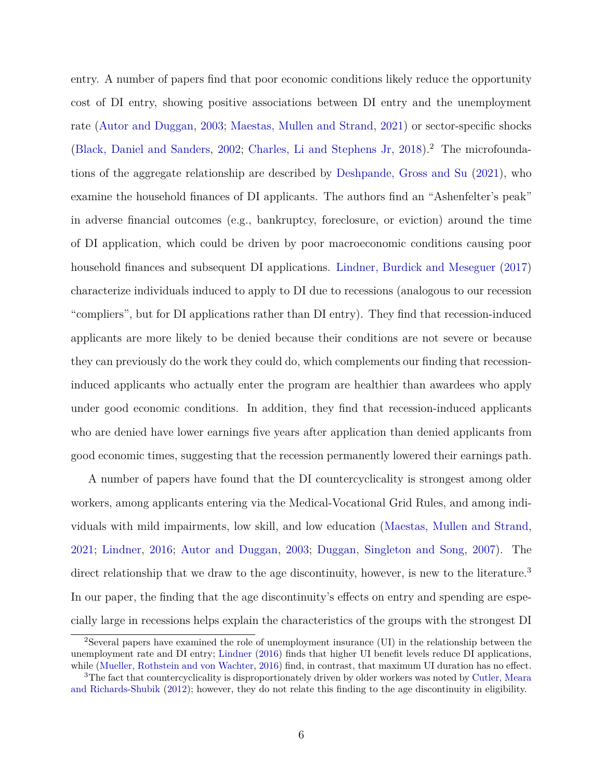entry. A number of papers find that poor economic conditions likely reduce the opportunity cost of DI entry, showing positive associations between DI entry and the unemployment rate [\(Autor and Duggan,](#page-32-1) [2003;](#page-32-1) [Maestas, Mullen and Strand,](#page-33-1) [2021\)](#page-33-1) or sector-specific shocks [\(Black, Daniel and Sanders,](#page-32-0) [2002;](#page-32-0) [Charles, Li and Stephens Jr,](#page-32-2) [2018\)](#page-32-2).<sup>2</sup> The microfoundations of the aggregate relationship are described by [Deshpande, Gross and Su](#page-33-6) [\(2021\)](#page-33-6), who examine the household finances of DI applicants. The authors find an "Ashenfelter's peak" in adverse financial outcomes (e.g., bankruptcy, foreclosure, or eviction) around the time of DI application, which could be driven by poor macroeconomic conditions causing poor household finances and subsequent DI applications. [Lindner, Burdick and Meseguer](#page-33-5) [\(2017\)](#page-33-5) characterize individuals induced to apply to DI due to recessions (analogous to our recession "compliers", but for DI applications rather than DI entry). They find that recession-induced applicants are more likely to be denied because their conditions are not severe or because they can previously do the work they could do, which complements our finding that recessioninduced applicants who actually enter the program are healthier than awardees who apply under good economic conditions. In addition, they find that recession-induced applicants who are denied have lower earnings five years after application than denied applicants from good economic times, suggesting that the recession permanently lowered their earnings path.

A number of papers have found that the DI countercyclicality is strongest among older workers, among applicants entering via the Medical-Vocational Grid Rules, and among individuals with mild impairments, low skill, and low education [\(Maestas, Mullen and Strand,](#page-33-1) [2021;](#page-33-1) [Lindner,](#page-33-7) [2016;](#page-33-7) [Autor and Duggan,](#page-32-1) [2003;](#page-32-1) [Duggan, Singleton and Song,](#page-33-8) [2007\)](#page-33-8). The direct relationship that we draw to the age discontinuity, however, is new to the literature.<sup>3</sup> In our paper, the finding that the age discontinuity's effects on entry and spending are especially large in recessions helps explain the characteristics of the groups with the strongest DI

<sup>2</sup>Several papers have examined the role of unemployment insurance (UI) in the relationship between the unemployment rate and DI entry; [Lindner](#page-33-7) [\(2016\)](#page-33-7) finds that higher UI benefit levels reduce DI applications, while [\(Mueller, Rothstein and von Wachter,](#page-34-1) [2016\)](#page-34-1) find, in contrast, that maximum UI duration has no effect.

<sup>&</sup>lt;sup>3</sup>The fact that countercyclicality is disproportionately driven by older workers was noted by [Cutler, Meara](#page-32-3) [and Richards-Shubik](#page-32-3) [\(2012\)](#page-32-3); however, they do not relate this finding to the age discontinuity in eligibility.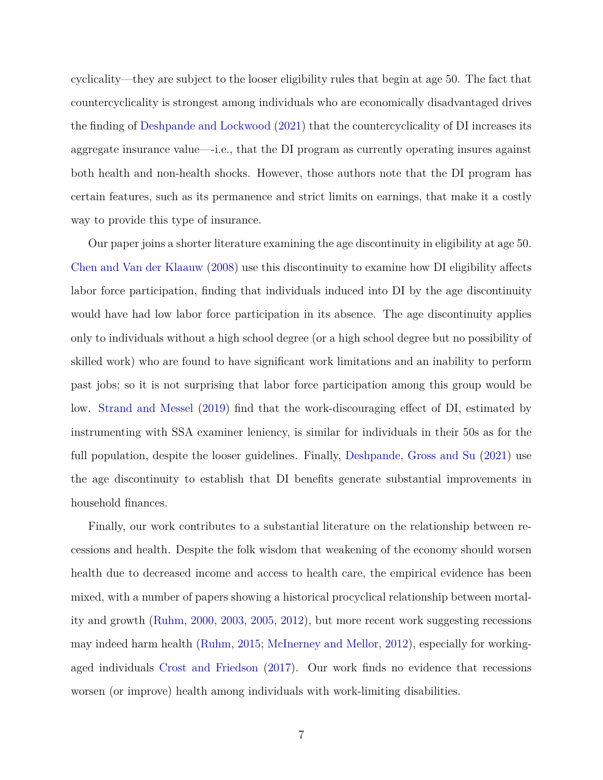cyclicality—they are subject to the looser eligibility rules that begin at age 50. The fact that countercyclicality is strongest among individuals who are economically disadvantaged drives the finding of [Deshpande and Lockwood](#page-33-9) [\(2021\)](#page-33-9) that the countercyclicality of DI increases its aggregate insurance value—-i.e., that the DI program as currently operating insures against both health and non-health shocks. However, those authors note that the DI program has certain features, such as its permanence and strict limits on earnings, that make it a costly way to provide this type of insurance.

Our paper joins a shorter literature examining the age discontinuity in eligibility at age 50. [Chen and Van der Klaauw](#page-32-6) [\(2008\)](#page-32-6) use this discontinuity to examine how DI eligibility affects labor force participation, finding that individuals induced into DI by the age discontinuity would have had low labor force participation in its absence. The age discontinuity applies only to individuals without a high school degree (or a high school degree but no possibility of skilled work) who are found to have significant work limitations and an inability to perform past jobs; so it is not surprising that labor force participation among this group would be low. [Strand and Messel](#page-34-0) [\(2019\)](#page-34-0) find that the work-discouraging effect of DI, estimated by instrumenting with SSA examiner leniency, is similar for individuals in their 50s as for the full population, despite the looser guidelines. Finally, [Deshpande, Gross and Su](#page-33-6) [\(2021\)](#page-33-6) use the age discontinuity to establish that DI benefits generate substantial improvements in household finances.

Finally, our work contributes to a substantial literature on the relationship between recessions and health. Despite the folk wisdom that weakening of the economy should worsen health due to decreased income and access to health care, the empirical evidence has been mixed, with a number of papers showing a historical procyclical relationship between mortality and growth [\(Ruhm,](#page-34-2) [2000,](#page-34-2) [2003,](#page-34-3) [2005,](#page-34-4) [2012\)](#page-34-5), but more recent work suggesting recessions may indeed harm health [\(Ruhm,](#page-34-6) [2015;](#page-34-6) [McInerney and Mellor,](#page-33-10) [2012\)](#page-33-10), especially for workingaged individuals [Crost and Friedson](#page-32-7) [\(2017\)](#page-32-7). Our work finds no evidence that recessions worsen (or improve) health among individuals with work-limiting disabilities.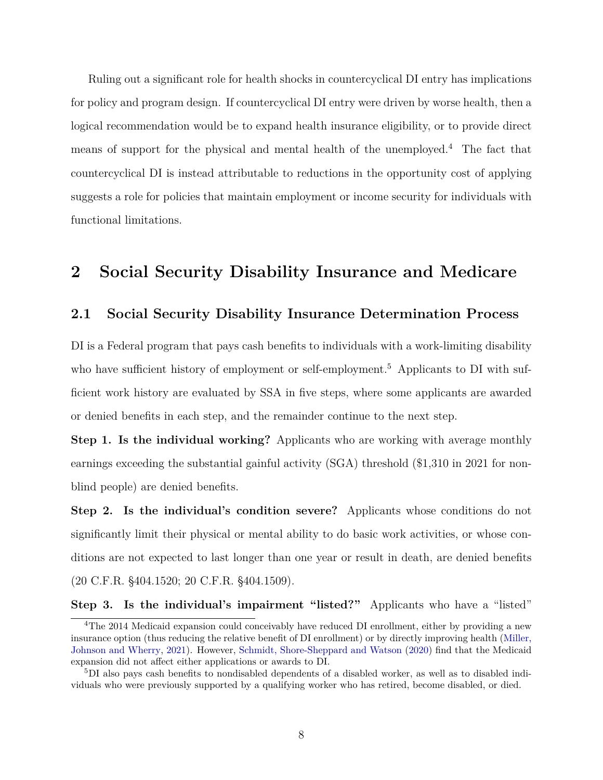Ruling out a significant role for health shocks in countercyclical DI entry has implications for policy and program design. If countercyclical DI entry were driven by worse health, then a logical recommendation would be to expand health insurance eligibility, or to provide direct means of support for the physical and mental health of the unemployed.<sup>4</sup> The fact that countercyclical DI is instead attributable to reductions in the opportunity cost of applying suggests a role for policies that maintain employment or income security for individuals with functional limitations.

### <span id="page-8-0"></span>**2 Social Security Disability Insurance and Medicare**

### **2.1 Social Security Disability Insurance Determination Process**

DI is a Federal program that pays cash benefits to individuals with a work-limiting disability who have sufficient history of employment or self-employment.<sup>5</sup> Applicants to DI with sufficient work history are evaluated by SSA in five steps, where some applicants are awarded or denied benefits in each step, and the remainder continue to the next step.

**Step 1.** Is the individual working? Applicants who are working with average monthly earnings exceeding the substantial gainful activity (SGA) threshold (\$1,310 in 2021 for nonblind people) are denied benefits.

**Step 2. Is the individual's condition severe?** Applicants whose conditions do not significantly limit their physical or mental ability to do basic work activities, or whose conditions are not expected to last longer than one year or result in death, are denied benefits (20 C.F.R. §404.1520; 20 C.F.R. §404.1509).

**Step 3. Is the individual's impairment "listed?"** Applicants who have a "listed"

<sup>4</sup>The 2014 Medicaid expansion could conceivably have reduced DI enrollment, either by providing a new insurance option (thus reducing the relative benefit of DI enrollment) or by directly improving health [\(Miller,](#page-34-7) [Johnson and Wherry,](#page-34-7) [2021\)](#page-34-7). However, [Schmidt, Shore-Sheppard and Watson](#page-34-8) [\(2020\)](#page-34-8) find that the Medicaid expansion did not affect either applications or awards to DI.

<sup>5</sup>DI also pays cash benefits to nondisabled dependents of a disabled worker, as well as to disabled individuals who were previously supported by a qualifying worker who has retired, become disabled, or died.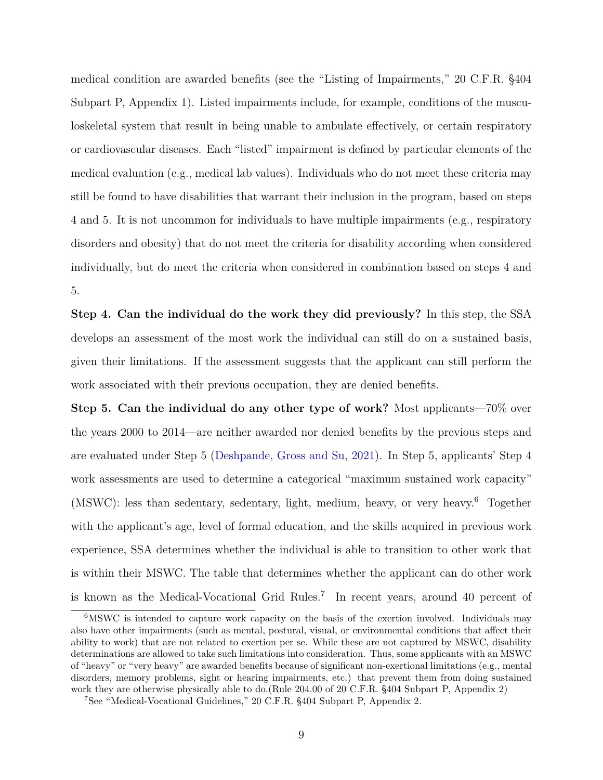medical condition are awarded benefits (see the "Listing of Impairments," 20 C.F.R. §404 Subpart P, Appendix 1). Listed impairments include, for example, conditions of the musculoskeletal system that result in being unable to ambulate effectively, or certain respiratory or cardiovascular diseases. Each "listed" impairment is defined by particular elements of the medical evaluation (e.g., medical lab values). Individuals who do not meet these criteria may still be found to have disabilities that warrant their inclusion in the program, based on steps 4 and 5. It is not uncommon for individuals to have multiple impairments (e.g., respiratory disorders and obesity) that do not meet the criteria for disability according when considered individually, but do meet the criteria when considered in combination based on steps 4 and 5.

**Step 4. Can the individual do the work they did previously?** In this step, the SSA develops an assessment of the most work the individual can still do on a sustained basis, given their limitations. If the assessment suggests that the applicant can still perform the work associated with their previous occupation, they are denied benefits.

**Step 5. Can the individual do any other type of work?** Most applicants—70% over the years 2000 to 2014—are neither awarded nor denied benefits by the previous steps and are evaluated under Step 5 [\(Deshpande, Gross and Su,](#page-33-6) [2021\)](#page-33-6). In Step 5, applicants' Step 4 work assessments are used to determine a categorical "maximum sustained work capacity" (MSWC): less than sedentary, sedentary, light, medium, heavy, or very heavy.<sup>6</sup> Together with the applicant's age, level of formal education, and the skills acquired in previous work experience, SSA determines whether the individual is able to transition to other work that is within their MSWC. The table that determines whether the applicant can do other work is known as the Medical-Vocational Grid Rules.<sup>7</sup> In recent years, around 40 percent of

<sup>&</sup>lt;sup>6</sup>MSWC is intended to capture work capacity on the basis of the exertion involved. Individuals may also have other impairments (such as mental, postural, visual, or environmental conditions that affect their ability to work) that are not related to exertion per se. While these are not captured by MSWC, disability determinations are allowed to take such limitations into consideration. Thus, some applicants with an MSWC of "heavy" or "very heavy" are awarded benefits because of significant non-exertional limitations (e.g., mental disorders, memory problems, sight or hearing impairments, etc.) that prevent them from doing sustained work they are otherwise physically able to do.(Rule 204.00 of 20 C.F.R. §404 Subpart P, Appendix 2)

<sup>7</sup>See "Medical-Vocational Guidelines," 20 C.F.R. §404 Subpart P, Appendix 2.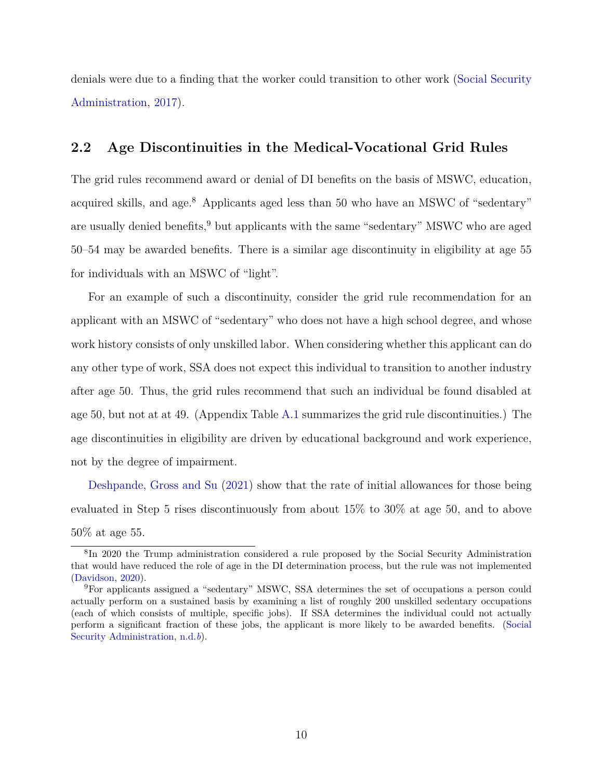denials were due to a finding that the worker could transition to other work [\(Social Security](#page-34-9) [Administration,](#page-34-9) [2017\)](#page-34-9).

#### <span id="page-10-0"></span>**2.2 Age Discontinuities in the Medical-Vocational Grid Rules**

The grid rules recommend award or denial of DI benefits on the basis of MSWC, education, acquired skills, and age.<sup>8</sup> Applicants aged less than 50 who have an MSWC of "sedentary" are usually denied benefits,<sup>9</sup> but applicants with the same "sedentary" MSWC who are aged 50–54 may be awarded benefits. There is a similar age discontinuity in eligibility at age 55 for individuals with an MSWC of "light".

For an example of such a discontinuity, consider the grid rule recommendation for an applicant with an MSWC of "sedentary" who does not have a high school degree, and whose work history consists of only unskilled labor. When considering whether this applicant can do any other type of work, SSA does not expect this individual to transition to another industry after age 50. Thus, the grid rules recommend that such an individual be found disabled at age 50, but not at at 49. (Appendix Table [A.1](#page-47-0) summarizes the grid rule discontinuities.) The age discontinuities in eligibility are driven by educational background and work experience, not by the degree of impairment.

[Deshpande, Gross and Su](#page-33-6) [\(2021\)](#page-33-6) show that the rate of initial allowances for those being evaluated in Step 5 rises discontinuously from about 15% to 30% at age 50, and to above 50% at age 55.

<sup>8</sup> In 2020 the Trump administration considered a rule proposed by the Social Security Administration that would have reduced the role of age in the DI determination process, but the rule was not implemented [\(Davidson,](#page-32-8) [2020\)](#page-32-8).

<sup>9</sup>For applicants assigned a "sedentary" MSWC, SSA determines the set of occupations a person could actually perform on a sustained basis by examining a list of roughly 200 unskilled sedentary occupations (each of which consists of multiple, specific jobs). If SSA determines the individual could not actually perform a significant fraction of these jobs, the applicant is more likely to be awarded benefits. [\(Social](#page-34-10) [Security Administration,](#page-34-10) [n.d.](#page-34-10)*b*).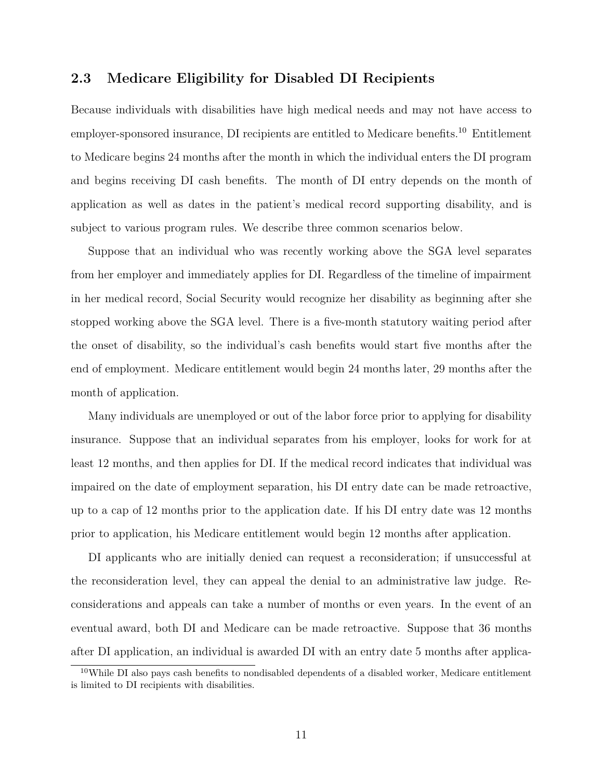### **2.3 Medicare Eligibility for Disabled DI Recipients**

Because individuals with disabilities have high medical needs and may not have access to employer-sponsored insurance, DI recipients are entitled to Medicare benefits.<sup>10</sup> Entitlement to Medicare begins 24 months after the month in which the individual enters the DI program and begins receiving DI cash benefits. The month of DI entry depends on the month of application as well as dates in the patient's medical record supporting disability, and is subject to various program rules. We describe three common scenarios below.

Suppose that an individual who was recently working above the SGA level separates from her employer and immediately applies for DI. Regardless of the timeline of impairment in her medical record, Social Security would recognize her disability as beginning after she stopped working above the SGA level. There is a five-month statutory waiting period after the onset of disability, so the individual's cash benefits would start five months after the end of employment. Medicare entitlement would begin 24 months later, 29 months after the month of application.

Many individuals are unemployed or out of the labor force prior to applying for disability insurance. Suppose that an individual separates from his employer, looks for work for at least 12 months, and then applies for DI. If the medical record indicates that individual was impaired on the date of employment separation, his DI entry date can be made retroactive, up to a cap of 12 months prior to the application date. If his DI entry date was 12 months prior to application, his Medicare entitlement would begin 12 months after application.

DI applicants who are initially denied can request a reconsideration; if unsuccessful at the reconsideration level, they can appeal the denial to an administrative law judge. Reconsiderations and appeals can take a number of months or even years. In the event of an eventual award, both DI and Medicare can be made retroactive. Suppose that 36 months after DI application, an individual is awarded DI with an entry date 5 months after applica-

<sup>&</sup>lt;sup>10</sup>While DI also pays cash benefits to nondisabled dependents of a disabled worker, Medicare entitlement is limited to DI recipients with disabilities.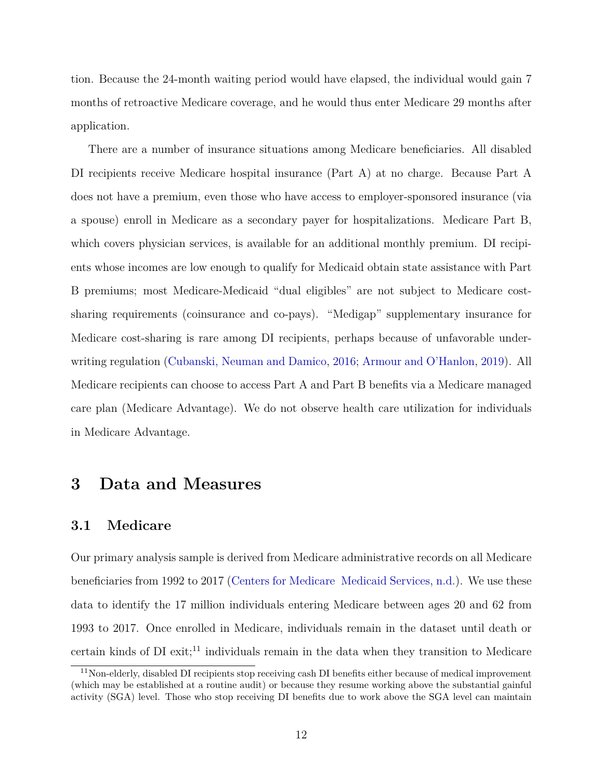tion. Because the 24-month waiting period would have elapsed, the individual would gain 7 months of retroactive Medicare coverage, and he would thus enter Medicare 29 months after application.

There are a number of insurance situations among Medicare beneficiaries. All disabled DI recipients receive Medicare hospital insurance (Part A) at no charge. Because Part A does not have a premium, even those who have access to employer-sponsored insurance (via a spouse) enroll in Medicare as a secondary payer for hospitalizations. Medicare Part B, which covers physician services, is available for an additional monthly premium. DI recipients whose incomes are low enough to qualify for Medicaid obtain state assistance with Part B premiums; most Medicare-Medicaid "dual eligibles" are not subject to Medicare costsharing requirements (coinsurance and co-pays). "Medigap" supplementary insurance for Medicare cost-sharing is rare among DI recipients, perhaps because of unfavorable underwriting regulation [\(Cubanski, Neuman and Damico,](#page-32-9) [2016;](#page-32-9) [Armour and O'Hanlon,](#page-32-10) [2019\)](#page-32-10). All Medicare recipients can choose to access Part A and Part B benefits via a Medicare managed care plan (Medicare Advantage). We do not observe health care utilization for individuals in Medicare Advantage.

### **3 Data and Measures**

### **3.1 Medicare**

Our primary analysis sample is derived from Medicare administrative records on all Medicare beneficiaries from 1992 to 2017 [\(Centers for Medicare Medicaid Services,](#page-32-11) [n.d.\)](#page-32-11). We use these data to identify the 17 million individuals entering Medicare between ages 20 and 62 from 1993 to 2017. Once enrolled in Medicare, individuals remain in the dataset until death or certain kinds of DI exit;<sup>11</sup> individuals remain in the data when they transition to Medicare

<sup>11</sup>Non-elderly, disabled DI recipients stop receiving cash DI benefits either because of medical improvement (which may be established at a routine audit) or because they resume working above the substantial gainful activity (SGA) level. Those who stop receiving DI benefits due to work above the SGA level can maintain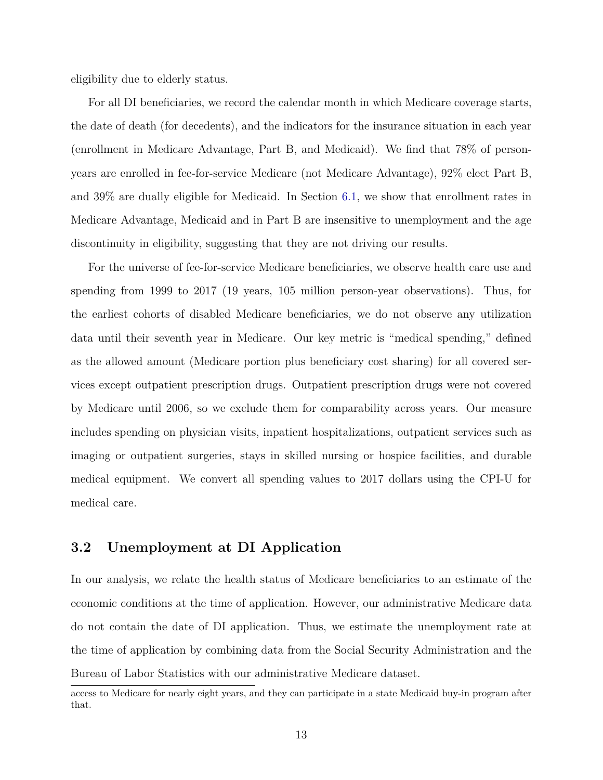eligibility due to elderly status.

For all DI beneficiaries, we record the calendar month in which Medicare coverage starts, the date of death (for decedents), and the indicators for the insurance situation in each year (enrollment in Medicare Advantage, Part B, and Medicaid). We find that 78% of personyears are enrolled in fee-for-service Medicare (not Medicare Advantage), 92% elect Part B, and 39% are dually eligible for Medicaid. In Section [6.1,](#page-30-0) we show that enrollment rates in Medicare Advantage, Medicaid and in Part B are insensitive to unemployment and the age discontinuity in eligibility, suggesting that they are not driving our results.

For the universe of fee-for-service Medicare beneficiaries, we observe health care use and spending from 1999 to 2017 (19 years, 105 million person-year observations). Thus, for the earliest cohorts of disabled Medicare beneficiaries, we do not observe any utilization data until their seventh year in Medicare. Our key metric is "medical spending," defined as the allowed amount (Medicare portion plus beneficiary cost sharing) for all covered services except outpatient prescription drugs. Outpatient prescription drugs were not covered by Medicare until 2006, so we exclude them for comparability across years. Our measure includes spending on physician visits, inpatient hospitalizations, outpatient services such as imaging or outpatient surgeries, stays in skilled nursing or hospice facilities, and durable medical equipment. We convert all spending values to 2017 dollars using the CPI-U for medical care.

### <span id="page-13-0"></span>**3.2 Unemployment at DI Application**

In our analysis, we relate the health status of Medicare beneficiaries to an estimate of the economic conditions at the time of application. However, our administrative Medicare data do not contain the date of DI application. Thus, we estimate the unemployment rate at the time of application by combining data from the Social Security Administration and the Bureau of Labor Statistics with our administrative Medicare dataset.

access to Medicare for nearly eight years, and they can participate in a state Medicaid buy-in program after that.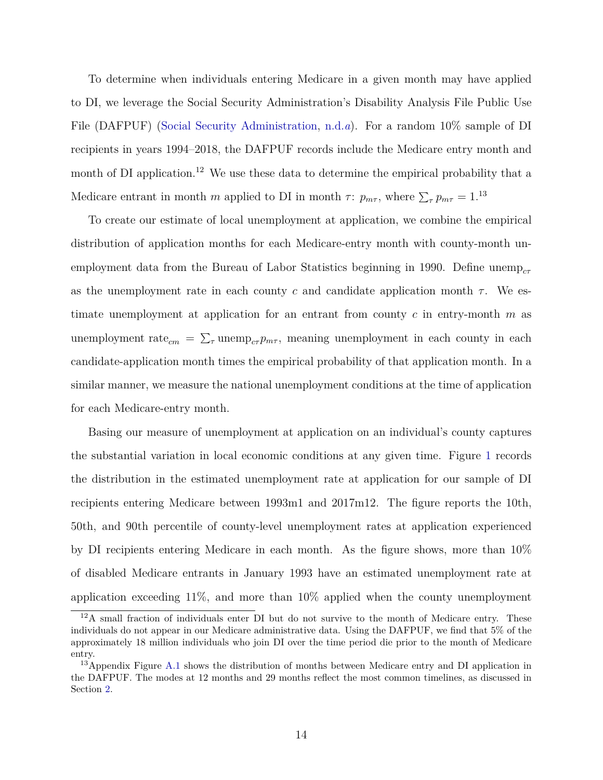To determine when individuals entering Medicare in a given month may have applied to DI, we leverage the Social Security Administration's Disability Analysis File Public Use File (DAFPUF) [\(Social Security Administration,](#page-34-11) [n.d.](#page-34-11)*a*). For a random 10% sample of DI recipients in years 1994–2018, the DAFPUF records include the Medicare entry month and month of DI application.<sup>12</sup> We use these data to determine the empirical probability that a Medicare entrant in month *m* applied to DI in month *τ*:  $p_{m\tau}$ , where  $\sum_{\tau} p_{m\tau} = 1$ .<sup>13</sup>

To create our estimate of local unemployment at application, we combine the empirical distribution of application months for each Medicare-entry month with county-month unemployment data from the Bureau of Labor Statistics beginning in 1990. Define unemp<sub>c</sub><sub>r</sub> as the unemployment rate in each county *c* and candidate application month  $\tau$ . We estimate unemployment at application for an entrant from county *c* in entry-month *m* as unemployment rate<sub>*cm*</sub> =  $\sum_{\tau}$  unemp<sub>*c*</sub>*p*<sub>*m*</sub><sup>*r*</sup>, meaning unemployment in each county in each candidate-application month times the empirical probability of that application month. In a similar manner, we measure the national unemployment conditions at the time of application for each Medicare-entry month.

Basing our measure of unemployment at application on an individual's county captures the substantial variation in local economic conditions at any given time. Figure [1](#page-35-0) records the distribution in the estimated unemployment rate at application for our sample of DI recipients entering Medicare between 1993m1 and 2017m12. The figure reports the 10th, 50th, and 90th percentile of county-level unemployment rates at application experienced by DI recipients entering Medicare in each month. As the figure shows, more than 10% of disabled Medicare entrants in January 1993 have an estimated unemployment rate at application exceeding 11%, and more than 10% applied when the county unemployment

 $12A$  small fraction of individuals enter DI but do not survive to the month of Medicare entry. These individuals do not appear in our Medicare administrative data. Using the DAFPUF, we find that 5% of the approximately 18 million individuals who join DI over the time period die prior to the month of Medicare entry.

<sup>&</sup>lt;sup>13</sup>Appendix Figure [A.1](#page-44-0) shows the distribution of months between Medicare entry and DI application in the DAFPUF. The modes at 12 months and 29 months reflect the most common timelines, as discussed in Section [2.](#page-8-0)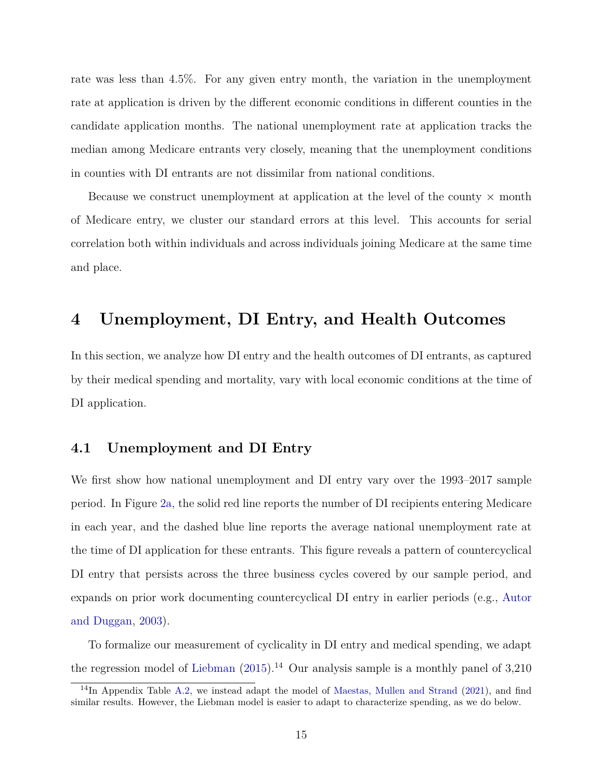rate was less than 4.5%. For any given entry month, the variation in the unemployment rate at application is driven by the different economic conditions in different counties in the candidate application months. The national unemployment rate at application tracks the median among Medicare entrants very closely, meaning that the unemployment conditions in counties with DI entrants are not dissimilar from national conditions.

Because we construct unemployment at application at the level of the county  $\times$  month of Medicare entry, we cluster our standard errors at this level. This accounts for serial correlation both within individuals and across individuals joining Medicare at the same time and place.

### **4 Unemployment, DI Entry, and Health Outcomes**

In this section, we analyze how DI entry and the health outcomes of DI entrants, as captured by their medical spending and mortality, vary with local economic conditions at the time of DI application.

#### <span id="page-15-0"></span>**4.1 Unemployment and DI Entry**

We first show how national unemployment and DI entry vary over the 1993–2017 sample period. In Figure [2a,](#page-36-0) the solid red line reports the number of DI recipients entering Medicare in each year, and the dashed blue line reports the average national unemployment rate at the time of DI application for these entrants. This figure reveals a pattern of countercyclical DI entry that persists across the three business cycles covered by our sample period, and expands on prior work documenting countercyclical DI entry in earlier periods (e.g., [Autor](#page-32-1) [and Duggan,](#page-32-1) [2003\)](#page-32-1).

To formalize our measurement of cyclicality in DI entry and medical spending, we adapt the regression model of [Liebman](#page-33-0)  $(2015)^{14}$  $(2015)^{14}$  Our analysis sample is a monthly panel of 3,210

 $14$ In Appendix Table [A.2,](#page-48-0) we instead adapt the model of [Maestas, Mullen and Strand](#page-33-1) [\(2021\)](#page-33-1), and find similar results. However, the Liebman model is easier to adapt to characterize spending, as we do below.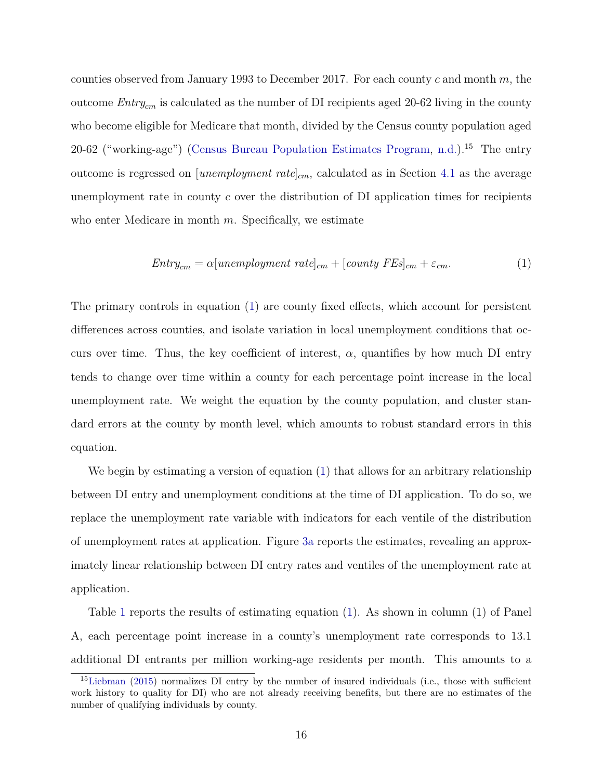counties observed from January 1993 to December 2017. For each county *c* and month *m*, the outcome *Entrycm* is calculated as the number of DI recipients aged 20-62 living in the county who become eligible for Medicare that month, divided by the Census county population aged 20-62 ("working-age") [\(Census Bureau Population Estimates Program,](#page-32-12) [n.d.\)](#page-32-12).<sup>15</sup> The entry outcome is regressed on [*unemployment rate*]*cm*, calculated as in Section [4.1](#page-15-0) as the average unemployment rate in county *c* over the distribution of DI application times for recipients who enter Medicare in month *m*. Specifically, we estimate

<span id="page-16-0"></span>
$$
Entry_{cm} = \alpha [un employment\ rate]_{cm} + [county\ FEs]_{cm} + \varepsilon_{cm}.
$$
\n(1)

The primary controls in equation [\(1\)](#page-16-0) are county fixed effects, which account for persistent differences across counties, and isolate variation in local unemployment conditions that occurs over time. Thus, the key coefficient of interest,  $\alpha$ , quantifies by how much DI entry tends to change over time within a county for each percentage point increase in the local unemployment rate. We weight the equation by the county population, and cluster standard errors at the county by month level, which amounts to robust standard errors in this equation.

We begin by estimating a version of equation [\(1\)](#page-16-0) that allows for an arbitrary relationship between DI entry and unemployment conditions at the time of DI application. To do so, we replace the unemployment rate variable with indicators for each ventile of the distribution of unemployment rates at application. Figure [3a](#page-37-0) reports the estimates, revealing an approximately linear relationship between DI entry rates and ventiles of the unemployment rate at application.

Table [1](#page-42-0) reports the results of estimating equation [\(1\)](#page-16-0). As shown in column (1) of Panel A, each percentage point increase in a county's unemployment rate corresponds to 13.1 additional DI entrants per million working-age residents per month. This amounts to a

<sup>&</sup>lt;sup>15</sup>[Liebman](#page-33-0) [\(2015\)](#page-33-0) normalizes DI entry by the number of insured individuals (i.e., those with sufficient work history to quality for DI) who are not already receiving benefits, but there are no estimates of the number of qualifying individuals by county.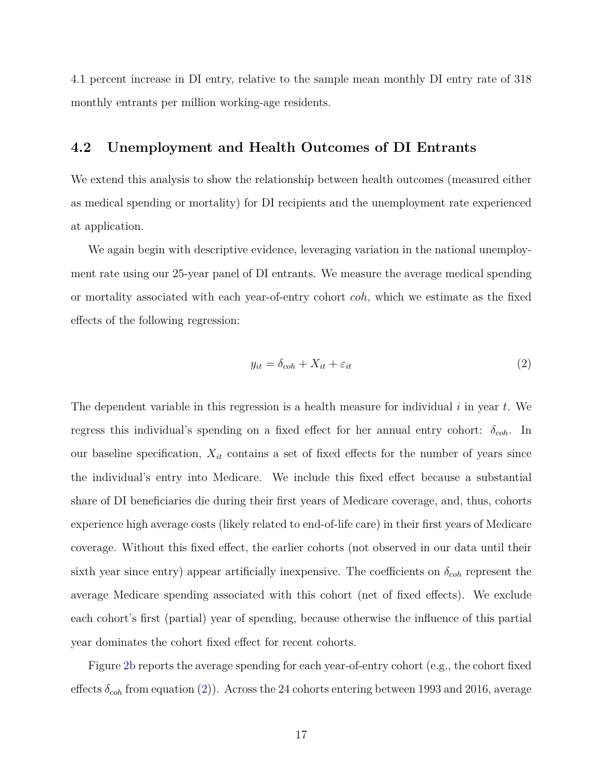4.1 percent increase in DI entry, relative to the sample mean monthly DI entry rate of 318 monthly entrants per million working-age residents.

#### **4.2 Unemployment and Health Outcomes of DI Entrants**

We extend this analysis to show the relationship between health outcomes (measured either as medical spending or mortality) for DI recipients and the unemployment rate experienced at application.

We again begin with descriptive evidence, leveraging variation in the national unemployment rate using our 25-year panel of DI entrants. We measure the average medical spending or mortality associated with each year-of-entry cohort *coh*, which we estimate as the fixed effects of the following regression:

<span id="page-17-0"></span>
$$
y_{it} = \delta_{coh} + X_{it} + \varepsilon_{it} \tag{2}
$$

The dependent variable in this regression is a health measure for individual *i* in year *t*. We regress this individual's spending on a fixed effect for her annual entry cohort: *δcoh*. In our baseline specification,  $X_{it}$  contains a set of fixed effects for the number of years since the individual's entry into Medicare. We include this fixed effect because a substantial share of DI beneficiaries die during their first years of Medicare coverage, and, thus, cohorts experience high average costs (likely related to end-of-life care) in their first years of Medicare coverage. Without this fixed effect, the earlier cohorts (not observed in our data until their sixth year since entry) appear artificially inexpensive. The coefficients on  $\delta_{coh}$  represent the average Medicare spending associated with this cohort (net of fixed effects). We exclude each cohort's first (partial) year of spending, because otherwise the influence of this partial year dominates the cohort fixed effect for recent cohorts.

Figure [2b](#page-36-0) reports the average spending for each year-of-entry cohort (e.g., the cohort fixed effects *δcoh* from equation [\(2\)](#page-17-0)). Across the 24 cohorts entering between 1993 and 2016, average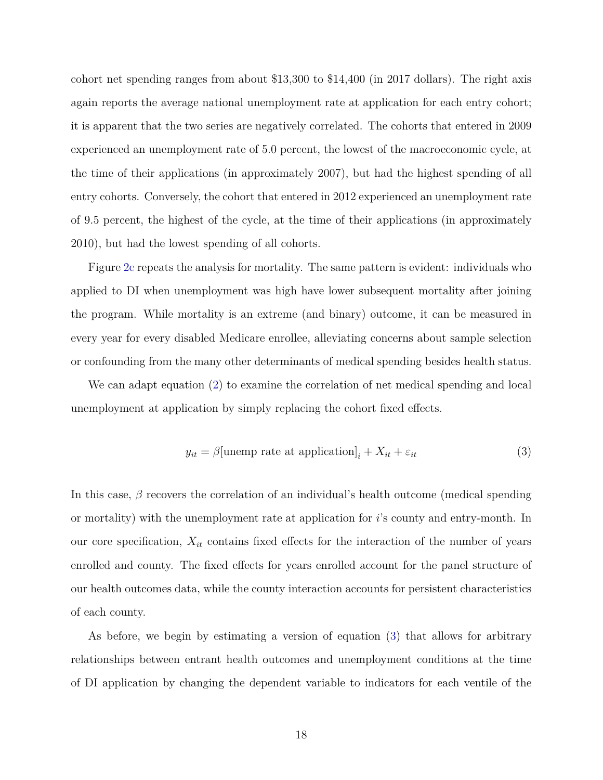cohort net spending ranges from about \$13,300 to \$14,400 (in 2017 dollars). The right axis again reports the average national unemployment rate at application for each entry cohort; it is apparent that the two series are negatively correlated. The cohorts that entered in 2009 experienced an unemployment rate of 5.0 percent, the lowest of the macroeconomic cycle, at the time of their applications (in approximately 2007), but had the highest spending of all entry cohorts. Conversely, the cohort that entered in 2012 experienced an unemployment rate of 9.5 percent, the highest of the cycle, at the time of their applications (in approximately 2010), but had the lowest spending of all cohorts.

Figure [2c](#page-36-0) repeats the analysis for mortality. The same pattern is evident: individuals who applied to DI when unemployment was high have lower subsequent mortality after joining the program. While mortality is an extreme (and binary) outcome, it can be measured in every year for every disabled Medicare enrollee, alleviating concerns about sample selection or confounding from the many other determinants of medical spending besides health status.

We can adapt equation [\(2\)](#page-17-0) to examine the correlation of net medical spending and local unemployment at application by simply replacing the cohort fixed effects.

<span id="page-18-0"></span>
$$
y_{it} = \beta[\text{unemp rate at application}]_i + X_{it} + \varepsilon_{it} \tag{3}
$$

In this case, *β* recovers the correlation of an individual's health outcome (medical spending or mortality) with the unemployment rate at application for *i*'s county and entry-month. In our core specification,  $X_{it}$  contains fixed effects for the interaction of the number of years enrolled and county. The fixed effects for years enrolled account for the panel structure of our health outcomes data, while the county interaction accounts for persistent characteristics of each county.

As before, we begin by estimating a version of equation [\(3\)](#page-18-0) that allows for arbitrary relationships between entrant health outcomes and unemployment conditions at the time of DI application by changing the dependent variable to indicators for each ventile of the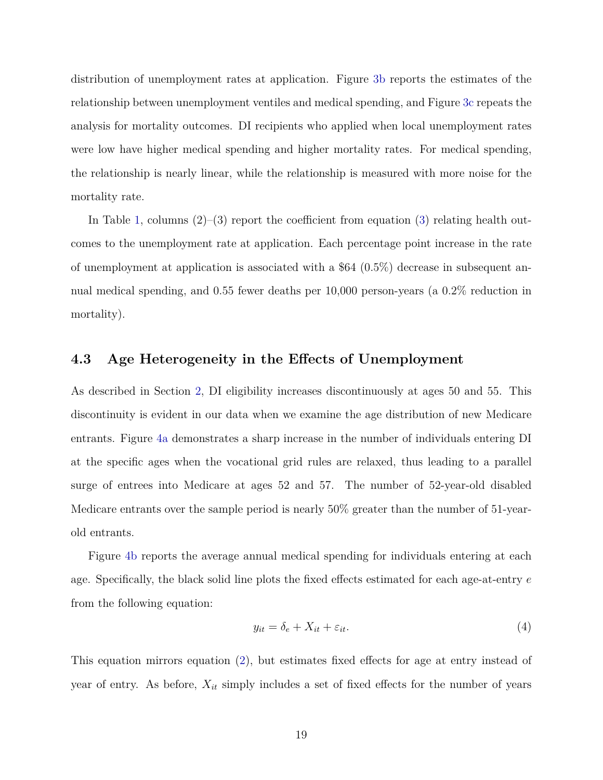distribution of unemployment rates at application. Figure [3b](#page-37-0) reports the estimates of the relationship between unemployment ventiles and medical spending, and Figure [3c](#page-37-0) repeats the analysis for mortality outcomes. DI recipients who applied when local unemployment rates were low have higher medical spending and higher mortality rates. For medical spending, the relationship is nearly linear, while the relationship is measured with more noise for the mortality rate.

In Table [1,](#page-42-0) columns  $(2)-(3)$  $(2)-(3)$  report the coefficient from equation  $(3)$  relating health outcomes to the unemployment rate at application. Each percentage point increase in the rate of unemployment at application is associated with a \$64 (0.5%) decrease in subsequent annual medical spending, and 0.55 fewer deaths per 10,000 person-years (a 0.2% reduction in mortality).

### <span id="page-19-0"></span>**4.3 Age Heterogeneity in the Effects of Unemployment**

As described in Section [2,](#page-8-0) DI eligibility increases discontinuously at ages 50 and 55. This discontinuity is evident in our data when we examine the age distribution of new Medicare entrants. Figure [4a](#page-38-0) demonstrates a sharp increase in the number of individuals entering DI at the specific ages when the vocational grid rules are relaxed, thus leading to a parallel surge of entrees into Medicare at ages 52 and 57. The number of 52-year-old disabled Medicare entrants over the sample period is nearly 50% greater than the number of 51-yearold entrants.

Figure [4b](#page-38-0) reports the average annual medical spending for individuals entering at each age. Specifically, the black solid line plots the fixed effects estimated for each age-at-entry *e* from the following equation:

<span id="page-19-1"></span>
$$
y_{it} = \delta_e + X_{it} + \varepsilon_{it}.\tag{4}
$$

This equation mirrors equation [\(2\)](#page-17-0), but estimates fixed effects for age at entry instead of year of entry. As before, *Xit* simply includes a set of fixed effects for the number of years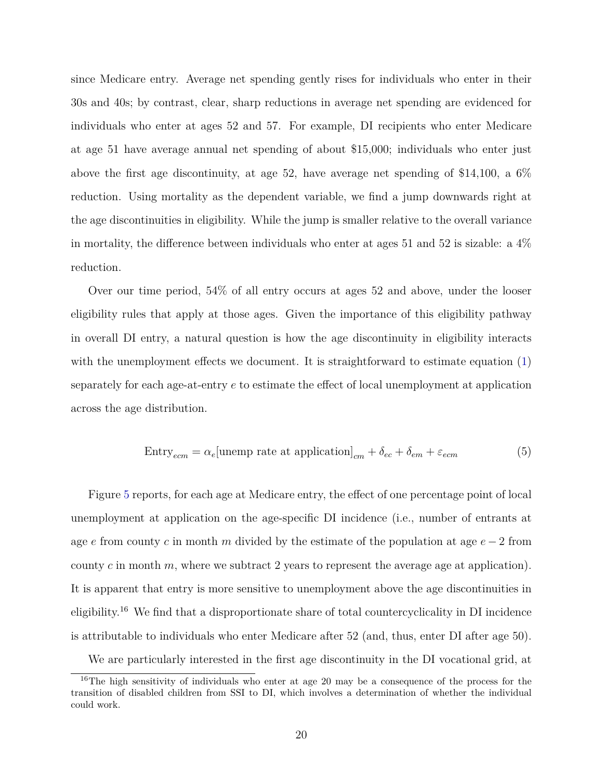since Medicare entry. Average net spending gently rises for individuals who enter in their 30s and 40s; by contrast, clear, sharp reductions in average net spending are evidenced for individuals who enter at ages 52 and 57. For example, DI recipients who enter Medicare at age 51 have average annual net spending of about \$15,000; individuals who enter just above the first age discontinuity, at age 52, have average net spending of \$14,100, a 6% reduction. Using mortality as the dependent variable, we find a jump downwards right at the age discontinuities in eligibility. While the jump is smaller relative to the overall variance in mortality, the difference between individuals who enter at ages 51 and 52 is sizable: a 4% reduction.

Over our time period, 54% of all entry occurs at ages 52 and above, under the looser eligibility rules that apply at those ages. Given the importance of this eligibility pathway in overall DI entry, a natural question is how the age discontinuity in eligibility interacts with the unemployment effects we document. It is straightforward to estimate equation [\(1\)](#page-16-0) separately for each age-at-entry *e* to estimate the effect of local unemployment at application across the age distribution.

<span id="page-20-0"></span>
$$
Entry_{ecm} = \alpha_e[\text{unemp rate at application}]_{cm} + \delta_{ec} + \delta_{em} + \varepsilon_{ecm}
$$
\n(5)

Figure [5](#page-39-0) reports, for each age at Medicare entry, the effect of one percentage point of local unemployment at application on the age-specific DI incidence (i.e., number of entrants at age *e* from county *c* in month *m* divided by the estimate of the population at age *e* − 2 from county  $c$  in month  $m$ , where we subtract 2 years to represent the average age at application). It is apparent that entry is more sensitive to unemployment above the age discontinuities in eligibility.<sup>16</sup> We find that a disproportionate share of total countercyclicality in DI incidence is attributable to individuals who enter Medicare after 52 (and, thus, enter DI after age 50).

We are particularly interested in the first age discontinuity in the DI vocational grid, at

<sup>&</sup>lt;sup>16</sup>The high sensitivity of individuals who enter at age 20 may be a consequence of the process for the transition of disabled children from SSI to DI, which involves a determination of whether the individual could work.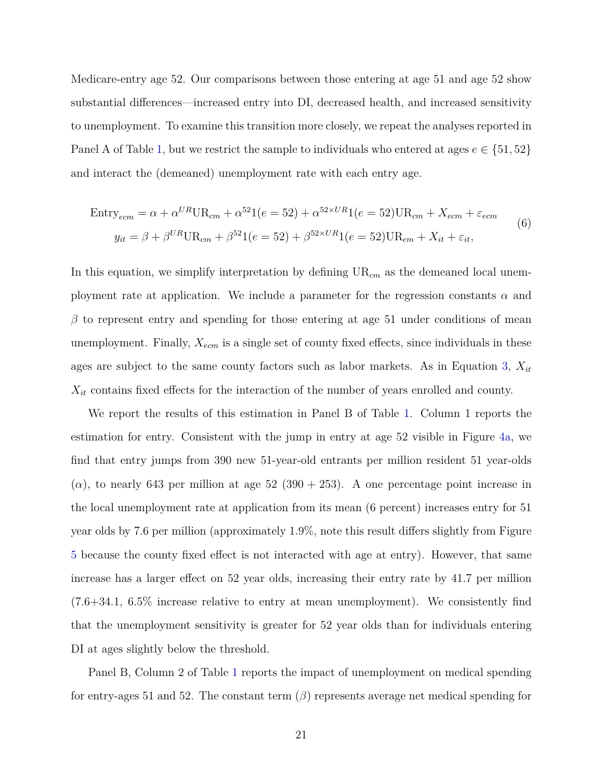Medicare-entry age 52. Our comparisons between those entering at age 51 and age 52 show substantial differences—increased entry into DI, decreased health, and increased sensitivity to unemployment. To examine this transition more closely, we repeat the analyses reported in Panel A of Table [1,](#page-42-0) but we restrict the sample to individuals who entered at ages  $e \in \{51, 52\}$ and interact the (demeaned) unemployment rate with each entry age.

<span id="page-21-0"></span>
$$
\text{Entry}_{ecm} = \alpha + \alpha^{UR} \text{UR}_{cm} + \alpha^{52} \text{1}(e = 52) + \alpha^{52 \times UR} \text{1}(e = 52) \text{UR}_{cm} + X_{ecm} + \varepsilon_{ecm}
$$
  

$$
y_{it} = \beta + \beta^{UR} \text{UR}_{cm} + \beta^{52} \text{1}(e = 52) + \beta^{52 \times UR} \text{1}(e = 52) \text{UR}_{cm} + X_{it} + \varepsilon_{it},
$$
 (6)

In this equation, we simplify interpretation by defining  $UR_{cm}$  as the demeaned local unemployment rate at application. We include a parameter for the regression constants  $\alpha$  and  $\beta$  to represent entry and spending for those entering at age 51 under conditions of mean unemployment. Finally, *Xecm* is a single set of county fixed effects, since individuals in these ages are subject to the same county factors such as labor markets. As in Equation [3,](#page-18-0) *Xit Xit* contains fixed effects for the interaction of the number of years enrolled and county.

We report the results of this estimation in Panel B of Table [1.](#page-42-0) Column 1 reports the estimation for entry. Consistent with the jump in entry at age 52 visible in Figure [4a,](#page-38-0) we find that entry jumps from 390 new 51-year-old entrants per million resident 51 year-olds  $(\alpha)$ , to nearly 643 per million at age 52 (390 + 253). A one percentage point increase in the local unemployment rate at application from its mean (6 percent) increases entry for 51 year olds by 7.6 per million (approximately 1.9%, note this result differs slightly from Figure [5](#page-39-0) because the county fixed effect is not interacted with age at entry). However, that same increase has a larger effect on 52 year olds, increasing their entry rate by 41.7 per million (7.6+34.1, 6.5% increase relative to entry at mean unemployment). We consistently find that the unemployment sensitivity is greater for 52 year olds than for individuals entering DI at ages slightly below the threshold.

Panel B, Column 2 of Table [1](#page-42-0) reports the impact of unemployment on medical spending for entry-ages 51 and 52. The constant term  $(\beta)$  represents average net medical spending for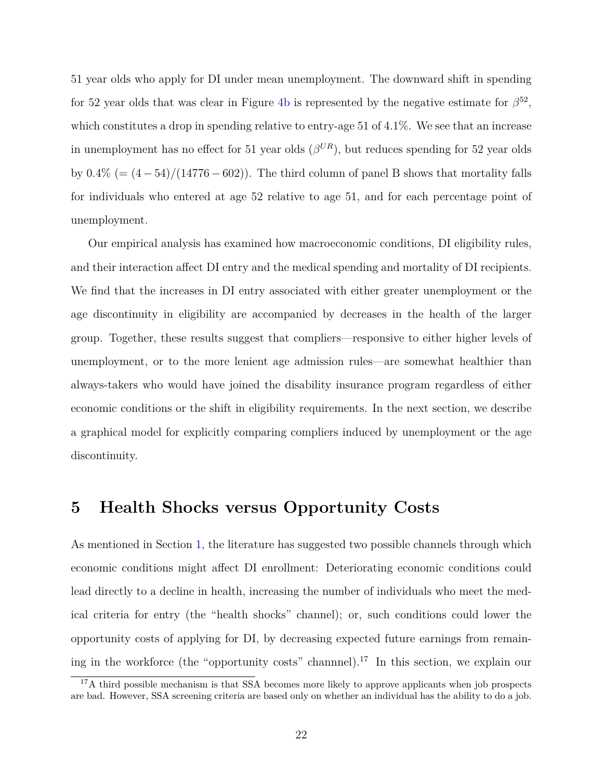51 year olds who apply for DI under mean unemployment. The downward shift in spending for 52 year olds that was clear in Figure [4b](#page-38-0) is represented by the negative estimate for  $\beta^{52}$ , which constitutes a drop in spending relative to entry-age 51 of 4.1%. We see that an increase in unemployment has no effect for 51 year olds  $(\beta^{UR})$ , but reduces spending for 52 year olds by  $0.4\%$  (=  $(4-54)/(14776-602)$ ). The third column of panel B shows that mortality falls for individuals who entered at age 52 relative to age 51, and for each percentage point of unemployment.

Our empirical analysis has examined how macroeconomic conditions, DI eligibility rules, and their interaction affect DI entry and the medical spending and mortality of DI recipients. We find that the increases in DI entry associated with either greater unemployment or the age discontinuity in eligibility are accompanied by decreases in the health of the larger group. Together, these results suggest that compliers—responsive to either higher levels of unemployment, or to the more lenient age admission rules—are somewhat healthier than always-takers who would have joined the disability insurance program regardless of either economic conditions or the shift in eligibility requirements. In the next section, we describe a graphical model for explicitly comparing compliers induced by unemployment or the age discontinuity.

### <span id="page-22-0"></span>**5 Health Shocks versus Opportunity Costs**

As mentioned in Section [1,](#page-1-0) the literature has suggested two possible channels through which economic conditions might affect DI enrollment: Deteriorating economic conditions could lead directly to a decline in health, increasing the number of individuals who meet the medical criteria for entry (the "health shocks" channel); or, such conditions could lower the opportunity costs of applying for DI, by decreasing expected future earnings from remaining in the workforce (the "opportunity costs" channnel).<sup>17</sup> In this section, we explain our

 $17A$  third possible mechanism is that SSA becomes more likely to approve applicants when job prospects are bad. However, SSA screening criteria are based only on whether an individual has the ability to do a job.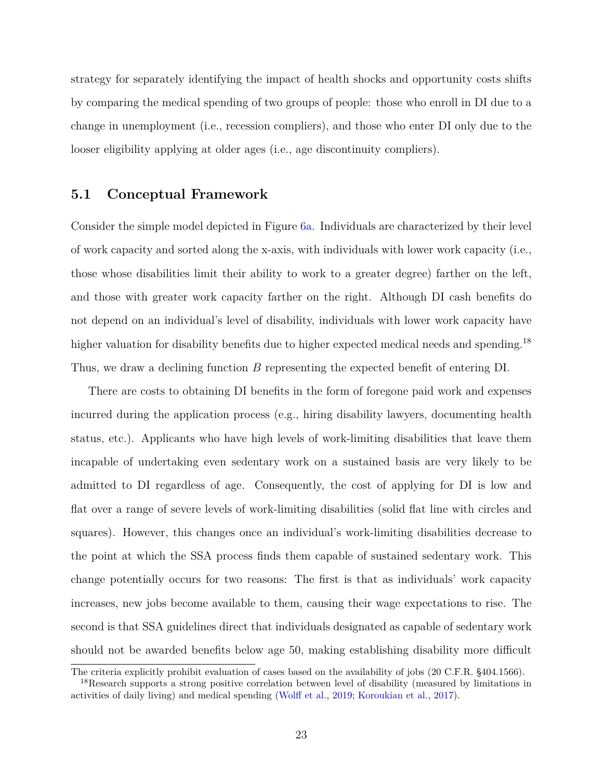strategy for separately identifying the impact of health shocks and opportunity costs shifts by comparing the medical spending of two groups of people: those who enroll in DI due to a change in unemployment (i.e., recession compliers), and those who enter DI only due to the looser eligibility applying at older ages (i.e., age discontinuity compliers).

#### **5.1 Conceptual Framework**

Consider the simple model depicted in Figure [6a.](#page-40-0) Individuals are characterized by their level of work capacity and sorted along the x-axis, with individuals with lower work capacity (i.e., those whose disabilities limit their ability to work to a greater degree) farther on the left, and those with greater work capacity farther on the right. Although DI cash benefits do not depend on an individual's level of disability, individuals with lower work capacity have higher valuation for disability benefits due to higher expected medical needs and spending.<sup>18</sup> Thus, we draw a declining function *B* representing the expected benefit of entering DI.

There are costs to obtaining DI benefits in the form of foregone paid work and expenses incurred during the application process (e.g., hiring disability lawyers, documenting health status, etc.). Applicants who have high levels of work-limiting disabilities that leave them incapable of undertaking even sedentary work on a sustained basis are very likely to be admitted to DI regardless of age. Consequently, the cost of applying for DI is low and flat over a range of severe levels of work-limiting disabilities (solid flat line with circles and squares). However, this changes once an individual's work-limiting disabilities decrease to the point at which the SSA process finds them capable of sustained sedentary work. This change potentially occurs for two reasons: The first is that as individuals' work capacity increases, new jobs become available to them, causing their wage expectations to rise. The second is that SSA guidelines direct that individuals designated as capable of sedentary work should not be awarded benefits below age 50, making establishing disability more difficult

The criteria explicitly prohibit evaluation of cases based on the availability of jobs (20 C.F.R. §404.1566).

<sup>&</sup>lt;sup>18</sup>Research supports a strong positive correlation between level of disability (measured by limitations in activities of daily living) and medical spending [\(Wolff et al.,](#page-34-12) [2019;](#page-34-12) [Koroukian et al.,](#page-33-11) [2017\)](#page-33-11).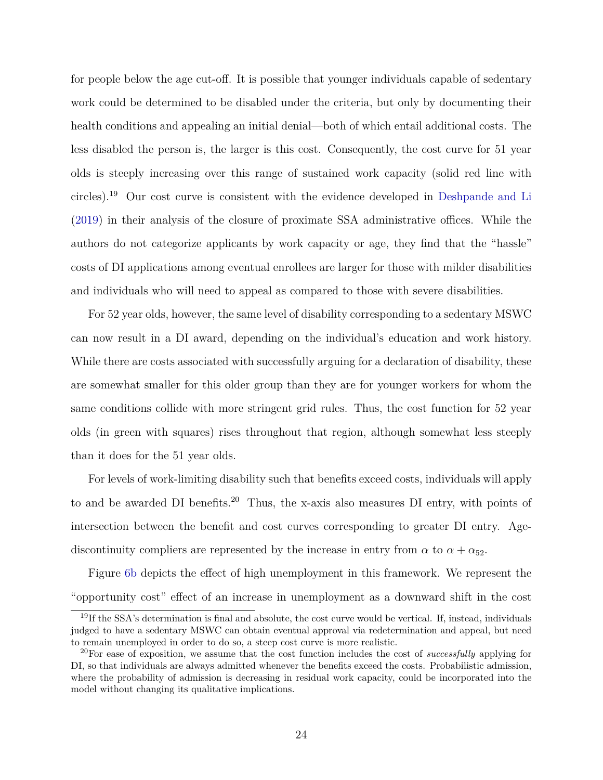for people below the age cut-off. It is possible that younger individuals capable of sedentary work could be determined to be disabled under the criteria, but only by documenting their health conditions and appealing an initial denial—both of which entail additional costs. The less disabled the person is, the larger is this cost. Consequently, the cost curve for 51 year olds is steeply increasing over this range of sustained work capacity (solid red line with circles).<sup>19</sup> Our cost curve is consistent with the evidence developed in [Deshpande and Li](#page-33-2) [\(2019\)](#page-33-2) in their analysis of the closure of proximate SSA administrative offices. While the authors do not categorize applicants by work capacity or age, they find that the "hassle" costs of DI applications among eventual enrollees are larger for those with milder disabilities and individuals who will need to appeal as compared to those with severe disabilities.

For 52 year olds, however, the same level of disability corresponding to a sedentary MSWC can now result in a DI award, depending on the individual's education and work history. While there are costs associated with successfully arguing for a declaration of disability, these are somewhat smaller for this older group than they are for younger workers for whom the same conditions collide with more stringent grid rules. Thus, the cost function for 52 year olds (in green with squares) rises throughout that region, although somewhat less steeply than it does for the 51 year olds.

For levels of work-limiting disability such that benefits exceed costs, individuals will apply to and be awarded DI benefits.<sup>20</sup> Thus, the x-axis also measures DI entry, with points of intersection between the benefit and cost curves corresponding to greater DI entry. Agediscontinuity compliers are represented by the increase in entry from  $\alpha$  to  $\alpha + \alpha_{52}$ .

Figure [6b](#page-40-0) depicts the effect of high unemployment in this framework. We represent the "opportunity cost" effect of an increase in unemployment as a downward shift in the cost

 $19$ If the SSA's determination is final and absolute, the cost curve would be vertical. If, instead, individuals judged to have a sedentary MSWC can obtain eventual approval via redetermination and appeal, but need to remain unemployed in order to do so, a steep cost curve is more realistic.

<sup>20</sup>For ease of exposition, we assume that the cost function includes the cost of *successfully* applying for DI, so that individuals are always admitted whenever the benefits exceed the costs. Probabilistic admission, where the probability of admission is decreasing in residual work capacity, could be incorporated into the model without changing its qualitative implications.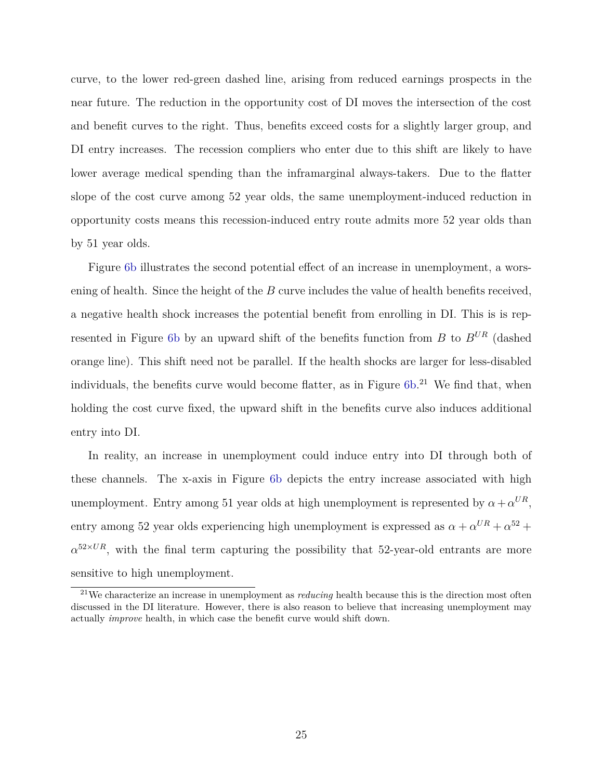curve, to the lower red-green dashed line, arising from reduced earnings prospects in the near future. The reduction in the opportunity cost of DI moves the intersection of the cost and benefit curves to the right. Thus, benefits exceed costs for a slightly larger group, and DI entry increases. The recession compliers who enter due to this shift are likely to have lower average medical spending than the inframarginal always-takers. Due to the flatter slope of the cost curve among 52 year olds, the same unemployment-induced reduction in opportunity costs means this recession-induced entry route admits more 52 year olds than by 51 year olds.

Figure [6b](#page-40-0) illustrates the second potential effect of an increase in unemployment, a worsening of health. Since the height of the *B* curve includes the value of health benefits received, a negative health shock increases the potential benefit from enrolling in DI. This is is represented in Figure [6b](#page-40-0) by an upward shift of the benefits function from *B* to *BUR* (dashed orange line). This shift need not be parallel. If the health shocks are larger for less-disabled individuals, the benefits curve would become flatter, as in Figure [6b.](#page-40-0)<sup>21</sup> We find that, when holding the cost curve fixed, the upward shift in the benefits curve also induces additional entry into DI.

In reality, an increase in unemployment could induce entry into DI through both of these channels. The x-axis in Figure [6b](#page-40-0) depicts the entry increase associated with high unemployment. Entry among 51 year olds at high unemployment is represented by  $\alpha + \alpha^{UR}$ , entry among 52 year olds experiencing high unemployment is expressed as  $\alpha + \alpha^{UR} + \alpha^{52} + \alpha^{32}$  $\alpha^{52\times UR}$ , with the final term capturing the possibility that 52-year-old entrants are more sensitive to high unemployment.

<sup>21</sup>We characterize an increase in unemployment as *reducing* health because this is the direction most often discussed in the DI literature. However, there is also reason to believe that increasing unemployment may actually *improve* health, in which case the benefit curve would shift down.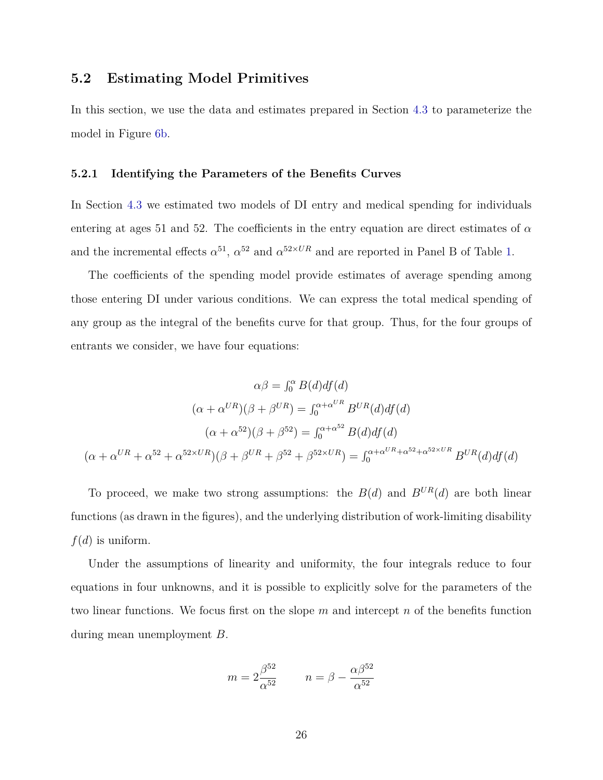#### **5.2 Estimating Model Primitives**

In this section, we use the data and estimates prepared in Section [4.3](#page-19-0) to parameterize the model in Figure [6b.](#page-40-0)

#### <span id="page-26-0"></span>**5.2.1 Identifying the Parameters of the Benefits Curves**

In Section [4.3](#page-19-0) we estimated two models of DI entry and medical spending for individuals entering at ages 51 and 52. The coefficients in the entry equation are direct estimates of  $\alpha$ and the incremental effects  $\alpha^{51}$ ,  $\alpha^{52}$  and  $\alpha^{52\times UR}$  and are reported in Panel B of Table [1.](#page-42-0)

The coefficients of the spending model provide estimates of average spending among those entering DI under various conditions. We can express the total medical spending of any group as the integral of the benefits curve for that group. Thus, for the four groups of entrants we consider, we have four equations:

$$
\alpha\beta = \int_0^{\alpha} B(d)df(d)
$$

$$
(\alpha + \alpha^{UR})(\beta + \beta^{UR}) = \int_0^{\alpha + \alpha^{UR}} B^{UR}(d)df(d)
$$

$$
(\alpha + \alpha^{52})(\beta + \beta^{52}) = \int_0^{\alpha + \alpha^{52}} B(d)df(d)
$$

$$
(\alpha + \alpha^{UR} + \alpha^{52} + \alpha^{52 \times UR})(\beta + \beta^{UR} + \beta^{52} + \beta^{52 \times UR}) = \int_0^{\alpha + \alpha^{UR} + \alpha^{52} + \alpha^{52 \times UR}} B^{UR}(d)df(d)
$$

To proceed, we make two strong assumptions: the  $B(d)$  and  $B^{UR}(d)$  are both linear functions (as drawn in the figures), and the underlying distribution of work-limiting disability  $f(d)$  is uniform.

Under the assumptions of linearity and uniformity, the four integrals reduce to four equations in four unknowns, and it is possible to explicitly solve for the parameters of the two linear functions. We focus first on the slope *m* and intercept *n* of the benefits function during mean unemployment *B*.

$$
m = 2\frac{\beta^{52}}{\alpha^{52}} \qquad n = \beta - \frac{\alpha\beta^{52}}{\alpha^{52}}
$$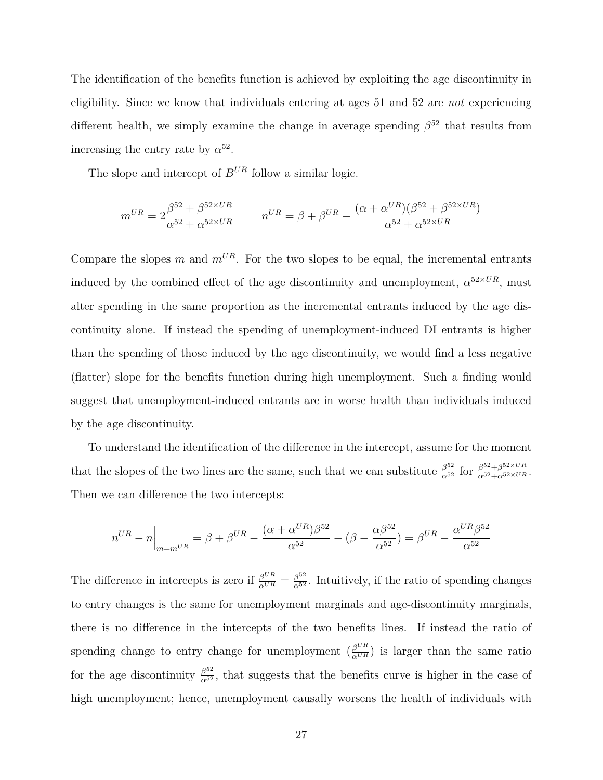The identification of the benefits function is achieved by exploiting the age discontinuity in eligibility. Since we know that individuals entering at ages 51 and 52 are *not* experiencing different health, we simply examine the change in average spending *β* <sup>52</sup> that results from increasing the entry rate by  $\alpha^{52}$ .

The slope and intercept of  $B^{UR}$  follow a similar logic.

$$
m^{UR} = 2\frac{\beta^{52} + \beta^{52 \times UR}}{\alpha^{52} + \alpha^{52 \times UR}} \qquad n^{UR} = \beta + \beta^{UR} - \frac{(\alpha + \alpha^{UR})(\beta^{52} + \beta^{52 \times UR})}{\alpha^{52} + \alpha^{52 \times UR}}
$$

Compare the slopes  $m$  and  $m^{UR}$ . For the two slopes to be equal, the incremental entrants induced by the combined effect of the age discontinuity and unemployment,  $\alpha^{52\times UR}$ , must alter spending in the same proportion as the incremental entrants induced by the age discontinuity alone. If instead the spending of unemployment-induced DI entrants is higher than the spending of those induced by the age discontinuity, we would find a less negative (flatter) slope for the benefits function during high unemployment. Such a finding would suggest that unemployment-induced entrants are in worse health than individuals induced by the age discontinuity.

To understand the identification of the difference in the intercept, assume for the moment that the slopes of the two lines are the same, such that we can substitute  $\frac{\beta^{52}}{\alpha^{52}}$  for  $\frac{\beta^{52}+\beta^{52}\times UR}{\alpha^{52}+\alpha^{52}\times UR}$ . Then we can difference the two intercepts:

$$
n^{UR} - n \Big|_{m=m^{UR}} = \beta + \beta^{UR} - \frac{(\alpha + \alpha^{UR})\beta^{52}}{\alpha^{52}} - (\beta - \frac{\alpha\beta^{52}}{\alpha^{52}}) = \beta^{UR} - \frac{\alpha^{UR}\beta^{52}}{\alpha^{52}}
$$

The difference in intercepts is zero if  $\frac{\beta^{UR}}{\alpha^{UR}} = \frac{\beta^{52}}{\alpha^{52}}$ . Intuitively, if the ratio of spending changes to entry changes is the same for unemployment marginals and age-discontinuity marginals, there is no difference in the intercepts of the two benefits lines. If instead the ratio of spending change to entry change for unemployment  $\left(\frac{\beta^{UR}}{\alpha^{UR}}\right)$  is larger than the same ratio for the age discontinuity  $\frac{\beta^{52}}{\alpha^{52}}$ , that suggests that the benefits curve is higher in the case of high unemployment; hence, unemployment causally worsens the health of individuals with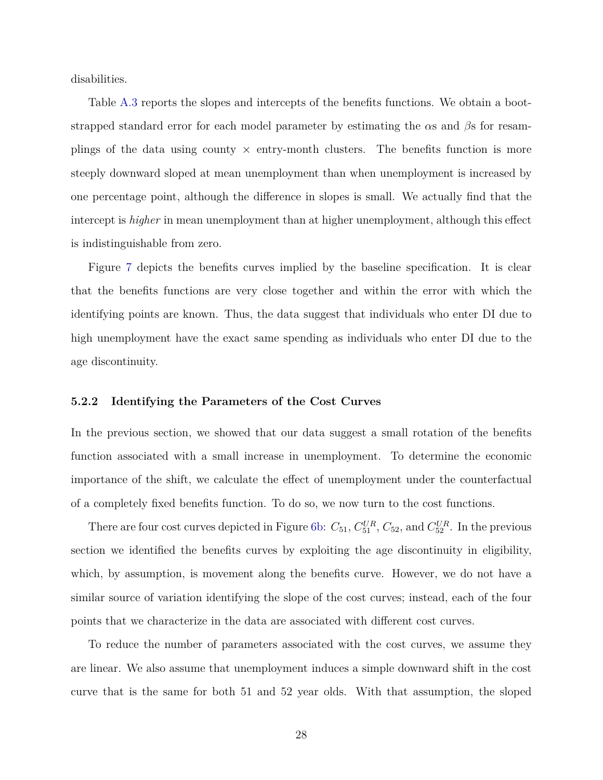disabilities.

Table [A.3](#page-49-0) reports the slopes and intercepts of the benefits functions. We obtain a bootstrapped standard error for each model parameter by estimating the *α*s and *β*s for resamplings of the data using county  $\times$  entry-month clusters. The benefits function is more steeply downward sloped at mean unemployment than when unemployment is increased by one percentage point, although the difference in slopes is small. We actually find that the intercept is *higher* in mean unemployment than at higher unemployment, although this effect is indistinguishable from zero.

Figure [7](#page-41-0) depicts the benefits curves implied by the baseline specification. It is clear that the benefits functions are very close together and within the error with which the identifying points are known. Thus, the data suggest that individuals who enter DI due to high unemployment have the exact same spending as individuals who enter DI due to the age discontinuity.

#### **5.2.2 Identifying the Parameters of the Cost Curves**

In the previous section, we showed that our data suggest a small rotation of the benefits function associated with a small increase in unemployment. To determine the economic importance of the shift, we calculate the effect of unemployment under the counterfactual of a completely fixed benefits function. To do so, we now turn to the cost functions.

There are four cost curves depicted in Figure [6b:](#page-40-0)  $C_{51}$ ,  $C_{51}^{UR}$ ,  $C_{52}$ , and  $C_{52}^{UR}$ . In the previous section we identified the benefits curves by exploiting the age discontinuity in eligibility, which, by assumption, is movement along the benefits curve. However, we do not have a similar source of variation identifying the slope of the cost curves; instead, each of the four points that we characterize in the data are associated with different cost curves.

To reduce the number of parameters associated with the cost curves, we assume they are linear. We also assume that unemployment induces a simple downward shift in the cost curve that is the same for both 51 and 52 year olds. With that assumption, the sloped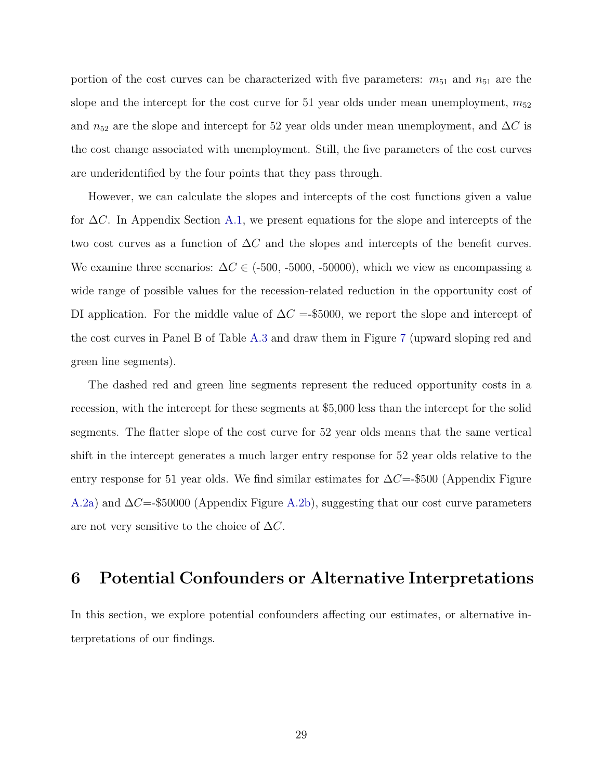portion of the cost curves can be characterized with five parameters:  $m_{51}$  and  $n_{51}$  are the slope and the intercept for the cost curve for 51 year olds under mean unemployment,  $m_{52}$ and  $n_{52}$  are the slope and intercept for 52 year olds under mean unemployment, and  $\Delta C$  is the cost change associated with unemployment. Still, the five parameters of the cost curves are underidentified by the four points that they pass through.

However, we can calculate the slopes and intercepts of the cost functions given a value for ∆*C*. In Appendix Section [A.1,](#page-43-0) we present equations for the slope and intercepts of the two cost curves as a function of ∆*C* and the slopes and intercepts of the benefit curves. We examine three scenarios:  $\Delta C \in$  (-500, -5000, -50000), which we view as encompassing a wide range of possible values for the recession-related reduction in the opportunity cost of DI application. For the middle value of  $\Delta C =$ -\$5000, we report the slope and intercept of the cost curves in Panel B of Table [A.3](#page-49-0) and draw them in Figure [7](#page-41-0) (upward sloping red and green line segments).

The dashed red and green line segments represent the reduced opportunity costs in a recession, with the intercept for these segments at \$5,000 less than the intercept for the solid segments. The flatter slope of the cost curve for 52 year olds means that the same vertical shift in the intercept generates a much larger entry response for 52 year olds relative to the entry response for 51 year olds. We find similar estimates for ∆*C*=-\$500 (Appendix Figure [A.2a\)](#page-45-0) and ∆*C*=-\$50000 (Appendix Figure [A.2b\)](#page-45-0), suggesting that our cost curve parameters are not very sensitive to the choice of ∆*C*.

### **6 Potential Confounders or Alternative Interpretations**

In this section, we explore potential confounders affecting our estimates, or alternative interpretations of our findings.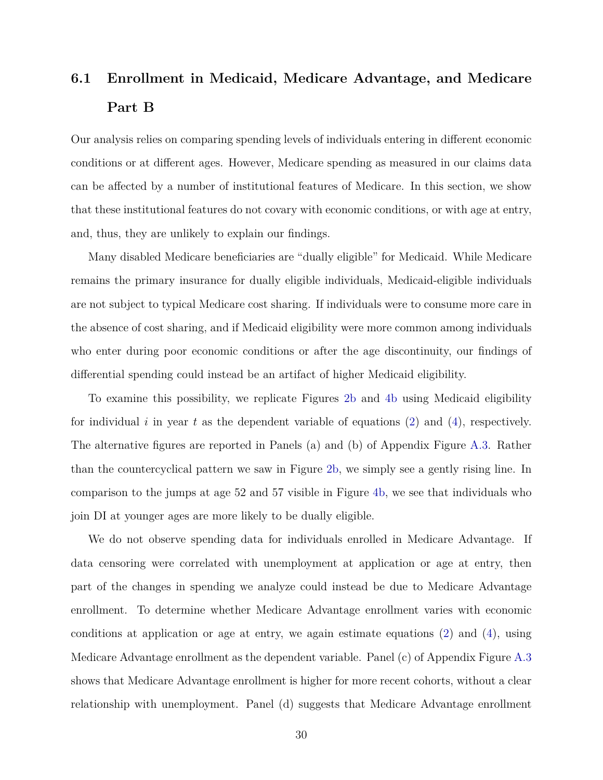## <span id="page-30-0"></span>**6.1 Enrollment in Medicaid, Medicare Advantage, and Medicare Part B**

Our analysis relies on comparing spending levels of individuals entering in different economic conditions or at different ages. However, Medicare spending as measured in our claims data can be affected by a number of institutional features of Medicare. In this section, we show that these institutional features do not covary with economic conditions, or with age at entry, and, thus, they are unlikely to explain our findings.

Many disabled Medicare beneficiaries are "dually eligible" for Medicaid. While Medicare remains the primary insurance for dually eligible individuals, Medicaid-eligible individuals are not subject to typical Medicare cost sharing. If individuals were to consume more care in the absence of cost sharing, and if Medicaid eligibility were more common among individuals who enter during poor economic conditions or after the age discontinuity, our findings of differential spending could instead be an artifact of higher Medicaid eligibility.

To examine this possibility, we replicate Figures [2b](#page-36-0) and [4b](#page-38-0) using Medicaid eligibility for individual *i* in year *t* as the dependent variable of equations [\(2\)](#page-17-0) and [\(4\)](#page-19-1), respectively. The alternative figures are reported in Panels (a) and (b) of Appendix Figure [A.3.](#page-46-0) Rather than the countercyclical pattern we saw in Figure [2b,](#page-36-0) we simply see a gently rising line. In comparison to the jumps at age 52 and 57 visible in Figure [4b,](#page-38-0) we see that individuals who join DI at younger ages are more likely to be dually eligible.

We do not observe spending data for individuals enrolled in Medicare Advantage. If data censoring were correlated with unemployment at application or age at entry, then part of the changes in spending we analyze could instead be due to Medicare Advantage enrollment. To determine whether Medicare Advantage enrollment varies with economic conditions at application or age at entry, we again estimate equations [\(2\)](#page-17-0) and [\(4\)](#page-19-1), using Medicare Advantage enrollment as the dependent variable. Panel (c) of Appendix Figure [A.3](#page-46-0) shows that Medicare Advantage enrollment is higher for more recent cohorts, without a clear relationship with unemployment. Panel (d) suggests that Medicare Advantage enrollment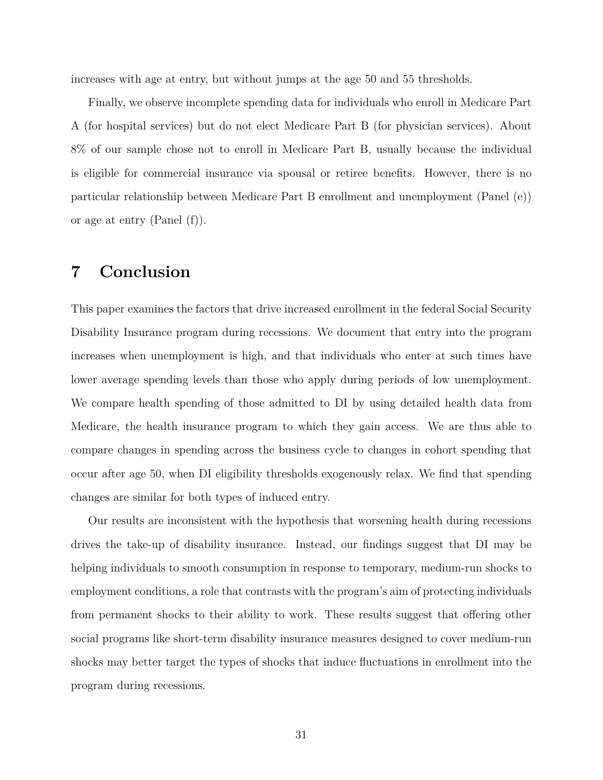increases with age at entry, but without jumps at the age 50 and 55 thresholds.

Finally, we observe incomplete spending data for individuals who enroll in Medicare Part A (for hospital services) but do not elect Medicare Part B (for physician services). About 8% of our sample chose not to enroll in Medicare Part B, usually because the individual is eligible for commercial insurance via spousal or retiree benefits. However, there is no particular relationship between Medicare Part B enrollment and unemployment (Panel (e)) or age at entry (Panel (f)).

### **7 Conclusion**

This paper examines the factors that drive increased enrollment in the federal Social Security Disability Insurance program during recessions. We document that entry into the program increases when unemployment is high, and that individuals who enter at such times have lower average spending levels than those who apply during periods of low unemployment. We compare health spending of those admitted to DI by using detailed health data from Medicare, the health insurance program to which they gain access. We are thus able to compare changes in spending across the business cycle to changes in cohort spending that occur after age 50, when DI eligibility thresholds exogenously relax. We find that spending changes are similar for both types of induced entry.

Our results are inconsistent with the hypothesis that worsening health during recessions drives the take-up of disability insurance. Instead, our findings suggest that DI may be helping individuals to smooth consumption in response to temporary, medium-run shocks to employment conditions, a role that contrasts with the program's aim of protecting individuals from permanent shocks to their ability to work. These results suggest that offering other social programs like short-term disability insurance measures designed to cover medium-run shocks may better target the types of shocks that induce fluctuations in enrollment into the program during recessions.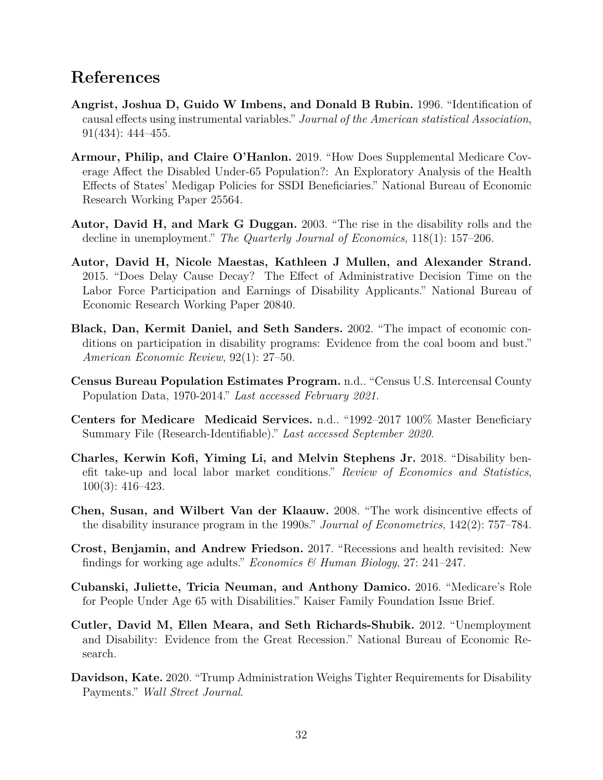### **References**

- <span id="page-32-4"></span>**Angrist, Joshua D, Guido W Imbens, and Donald B Rubin.** 1996. "Identification of causal effects using instrumental variables." *Journal of the American statistical Association*, 91(434): 444–455.
- <span id="page-32-10"></span>**Armour, Philip, and Claire O'Hanlon.** 2019. "How Does Supplemental Medicare Coverage Affect the Disabled Under-65 Population?: An Exploratory Analysis of the Health Effects of States' Medigap Policies for SSDI Beneficiaries." National Bureau of Economic Research Working Paper 25564.
- <span id="page-32-1"></span>**Autor, David H, and Mark G Duggan.** 2003. "The rise in the disability rolls and the decline in unemployment." *The Quarterly Journal of Economics*, 118(1): 157–206.
- <span id="page-32-5"></span>**Autor, David H, Nicole Maestas, Kathleen J Mullen, and Alexander Strand.** 2015. "Does Delay Cause Decay? The Effect of Administrative Decision Time on the Labor Force Participation and Earnings of Disability Applicants." National Bureau of Economic Research Working Paper 20840.
- <span id="page-32-0"></span>**Black, Dan, Kermit Daniel, and Seth Sanders.** 2002. "The impact of economic conditions on participation in disability programs: Evidence from the coal boom and bust." *American Economic Review*, 92(1): 27–50.
- <span id="page-32-12"></span>**Census Bureau Population Estimates Program.** n.d.. "Census U.S. Intercensal County Population Data, 1970-2014." *Last accessed February 2021*.
- <span id="page-32-11"></span>**Centers for Medicare Medicaid Services.** n.d.. "1992–2017 100% Master Beneficiary Summary File (Research-Identifiable)." *Last accessed September 2020*.
- <span id="page-32-2"></span>**Charles, Kerwin Kofi, Yiming Li, and Melvin Stephens Jr.** 2018. "Disability benefit take-up and local labor market conditions." *Review of Economics and Statistics*, 100(3): 416–423.
- <span id="page-32-6"></span>**Chen, Susan, and Wilbert Van der Klaauw.** 2008. "The work disincentive effects of the disability insurance program in the 1990s." *Journal of Econometrics*, 142(2): 757–784.
- <span id="page-32-7"></span>**Crost, Benjamin, and Andrew Friedson.** 2017. "Recessions and health revisited: New findings for working age adults." *Economics & Human Biology*, 27: 241–247.
- <span id="page-32-9"></span>**Cubanski, Juliette, Tricia Neuman, and Anthony Damico.** 2016. "Medicare's Role for People Under Age 65 with Disabilities." Kaiser Family Foundation Issue Brief.
- <span id="page-32-3"></span>**Cutler, David M, Ellen Meara, and Seth Richards-Shubik.** 2012. "Unemployment and Disability: Evidence from the Great Recession." National Bureau of Economic Research.
- <span id="page-32-8"></span>**Davidson, Kate.** 2020. "Trump Administration Weighs Tighter Requirements for Disability Payments." *Wall Street Journal*.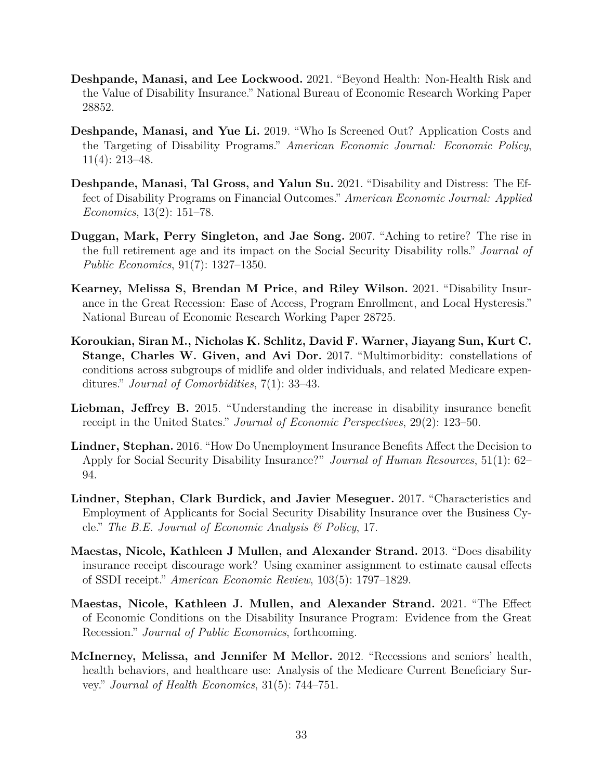- <span id="page-33-9"></span>**Deshpande, Manasi, and Lee Lockwood.** 2021. "Beyond Health: Non-Health Risk and the Value of Disability Insurance." National Bureau of Economic Research Working Paper 28852.
- <span id="page-33-2"></span>**Deshpande, Manasi, and Yue Li.** 2019. "Who Is Screened Out? Application Costs and the Targeting of Disability Programs." *American Economic Journal: Economic Policy*, 11(4): 213–48.
- <span id="page-33-6"></span>**Deshpande, Manasi, Tal Gross, and Yalun Su.** 2021. "Disability and Distress: The Effect of Disability Programs on Financial Outcomes." *American Economic Journal: Applied Economics*, 13(2): 151–78.
- <span id="page-33-8"></span>**Duggan, Mark, Perry Singleton, and Jae Song.** 2007. "Aching to retire? The rise in the full retirement age and its impact on the Social Security Disability rolls." *Journal of Public Economics*, 91(7): 1327–1350.
- <span id="page-33-3"></span>**Kearney, Melissa S, Brendan M Price, and Riley Wilson.** 2021. "Disability Insurance in the Great Recession: Ease of Access, Program Enrollment, and Local Hysteresis." National Bureau of Economic Research Working Paper 28725.
- <span id="page-33-11"></span>**Koroukian, Siran M., Nicholas K. Schlitz, David F. Warner, Jiayang Sun, Kurt C. Stange, Charles W. Given, and Avi Dor.** 2017. "Multimorbidity: constellations of conditions across subgroups of midlife and older individuals, and related Medicare expenditures." *Journal of Comorbidities*, 7(1): 33–43.
- <span id="page-33-0"></span>**Liebman, Jeffrey B.** 2015. "Understanding the increase in disability insurance benefit receipt in the United States." *Journal of Economic Perspectives*, 29(2): 123–50.
- <span id="page-33-7"></span>**Lindner, Stephan.** 2016. "How Do Unemployment Insurance Benefits Affect the Decision to Apply for Social Security Disability Insurance?" *Journal of Human Resources*, 51(1): 62– 94.
- <span id="page-33-5"></span>**Lindner, Stephan, Clark Burdick, and Javier Meseguer.** 2017. "Characteristics and Employment of Applicants for Social Security Disability Insurance over the Business Cycle." *The B.E. Journal of Economic Analysis & Policy*, 17.
- <span id="page-33-4"></span>**Maestas, Nicole, Kathleen J Mullen, and Alexander Strand.** 2013. "Does disability insurance receipt discourage work? Using examiner assignment to estimate causal effects of SSDI receipt." *American Economic Review*, 103(5): 1797–1829.
- <span id="page-33-1"></span>**Maestas, Nicole, Kathleen J. Mullen, and Alexander Strand.** 2021. "The Effect of Economic Conditions on the Disability Insurance Program: Evidence from the Great Recession." *Journal of Public Economics*, forthcoming.
- <span id="page-33-10"></span>**McInerney, Melissa, and Jennifer M Mellor.** 2012. "Recessions and seniors' health, health behaviors, and healthcare use: Analysis of the Medicare Current Beneficiary Survey." *Journal of Health Economics*, 31(5): 744–751.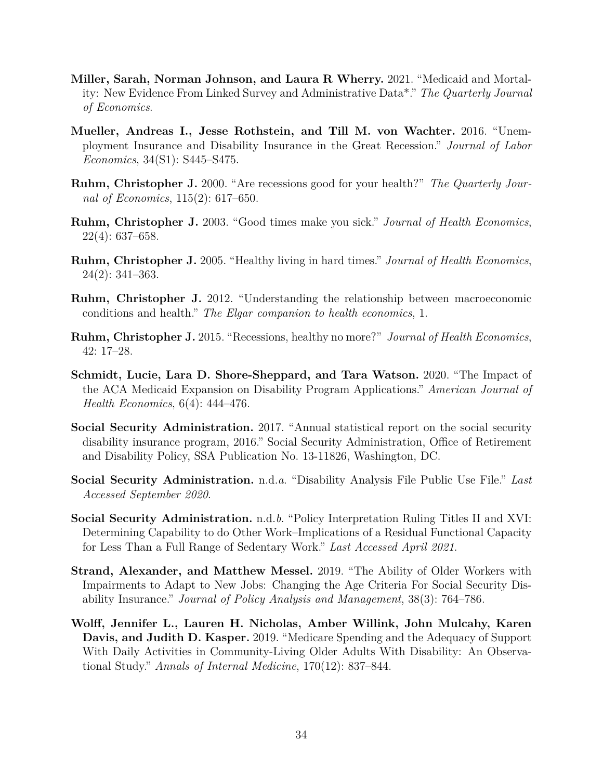- <span id="page-34-7"></span>**Miller, Sarah, Norman Johnson, and Laura R Wherry.** 2021. "Medicaid and Mortality: New Evidence From Linked Survey and Administrative Data\*." *The Quarterly Journal of Economics*.
- <span id="page-34-1"></span>**Mueller, Andreas I., Jesse Rothstein, and Till M. von Wachter.** 2016. "Unemployment Insurance and Disability Insurance in the Great Recession." *Journal of Labor Economics*, 34(S1): S445–S475.
- <span id="page-34-2"></span>**Ruhm, Christopher J.** 2000. "Are recessions good for your health?" *The Quarterly Journal of Economics*, 115(2): 617–650.
- <span id="page-34-3"></span>**Ruhm, Christopher J.** 2003. "Good times make you sick." *Journal of Health Economics*, 22(4): 637–658.
- <span id="page-34-4"></span>**Ruhm, Christopher J.** 2005. "Healthy living in hard times." *Journal of Health Economics*, 24(2): 341–363.
- <span id="page-34-5"></span>**Ruhm, Christopher J.** 2012. "Understanding the relationship between macroeconomic conditions and health." *The Elgar companion to health economics*, 1.
- <span id="page-34-6"></span>**Ruhm, Christopher J.** 2015. "Recessions, healthy no more?" *Journal of Health Economics*, 42: 17–28.
- <span id="page-34-8"></span>**Schmidt, Lucie, Lara D. Shore-Sheppard, and Tara Watson.** 2020. "The Impact of the ACA Medicaid Expansion on Disability Program Applications." *American Journal of Health Economics*, 6(4): 444–476.
- <span id="page-34-9"></span>**Social Security Administration.** 2017. "Annual statistical report on the social security disability insurance program, 2016." Social Security Administration, Office of Retirement and Disability Policy, SSA Publication No. 13-11826, Washington, DC.
- <span id="page-34-11"></span>**Social Security Administration.** n.d.*a*. "Disability Analysis File Public Use File." *Last Accessed September 2020*.
- <span id="page-34-10"></span>**Social Security Administration.** n.d.*b*. "Policy Interpretation Ruling Titles II and XVI: Determining Capability to do Other Work–Implications of a Residual Functional Capacity for Less Than a Full Range of Sedentary Work." *Last Accessed April 2021*.
- <span id="page-34-0"></span>**Strand, Alexander, and Matthew Messel.** 2019. "The Ability of Older Workers with Impairments to Adapt to New Jobs: Changing the Age Criteria For Social Security Disability Insurance." *Journal of Policy Analysis and Management*, 38(3): 764–786.
- <span id="page-34-12"></span>**Wolff, Jennifer L., Lauren H. Nicholas, Amber Willink, John Mulcahy, Karen Davis, and Judith D. Kasper.** 2019. "Medicare Spending and the Adequacy of Support With Daily Activities in Community-Living Older Adults With Disability: An Observational Study." *Annals of Internal Medicine*, 170(12): 837–844.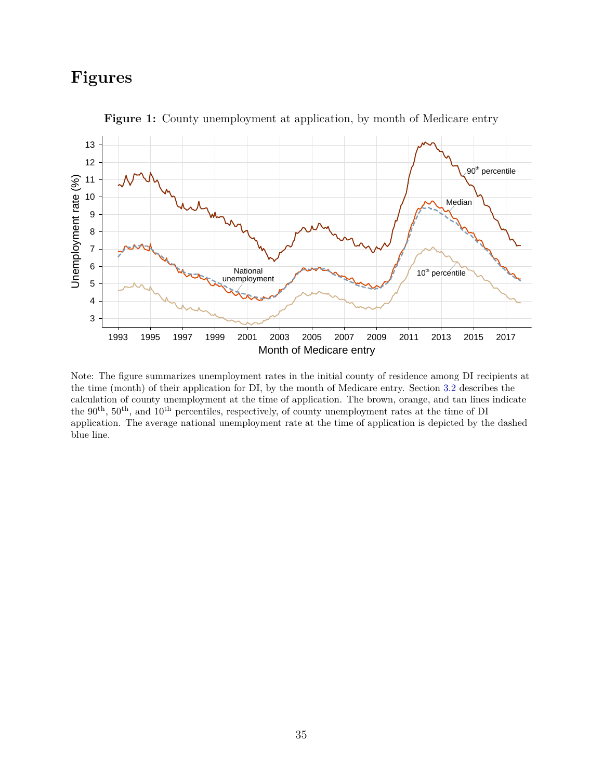## **Figures**

<span id="page-35-0"></span>

**Figure 1:** County unemployment at application, by month of Medicare entry

Note: The figure summarizes unemployment rates in the initial county of residence among DI recipients at the time (month) of their application for DI, by the month of Medicare entry. Section [3.2](#page-13-0) describes the calculation of county unemployment at the time of application. The brown, orange, and tan lines indicate the 90th, 50th, and 10th percentiles, respectively, of county unemployment rates at the time of DI application. The average national unemployment rate at the time of application is depicted by the dashed blue line.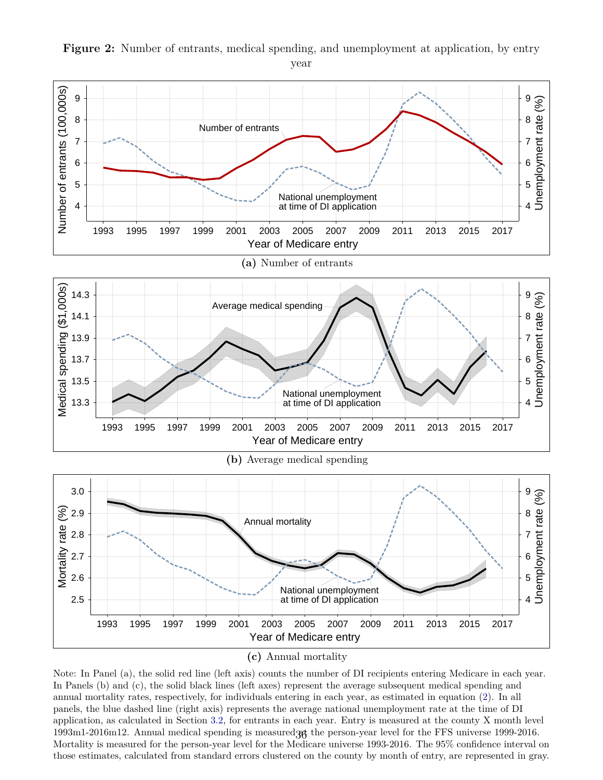

<span id="page-36-0"></span>**Figure 2:** Number of entrants, medical spending, and unemployment at application, by entry year

Note: In Panel (a), the solid red line (left axis) counts the number of DI recipients entering Medicare in each year. In Panels (b) and (c), the solid black lines (left axes) represent the average subsequent medical spending and annual mortality rates, respectively, for individuals entering in each year, as estimated in equation [\(2\)](#page-17-0). In all panels, the blue dashed line (right axis) represents the average national unemployment rate at the time of DI application, as calculated in Section [3.2,](#page-13-0) for entrants in each year. Entry is measured at the county X month level  $1993 \text{m}$ 1-2016 $\text{m}$ 12. Annual medical spending is measured  $36$  the person-year level for the FFS universe 1999-2016. Mortality is measured for the person-year level for the Medicare universe 1993-2016. The 95% confidence interval on those estimates, calculated from standard errors clustered on the county by month of entry, are represented in gray.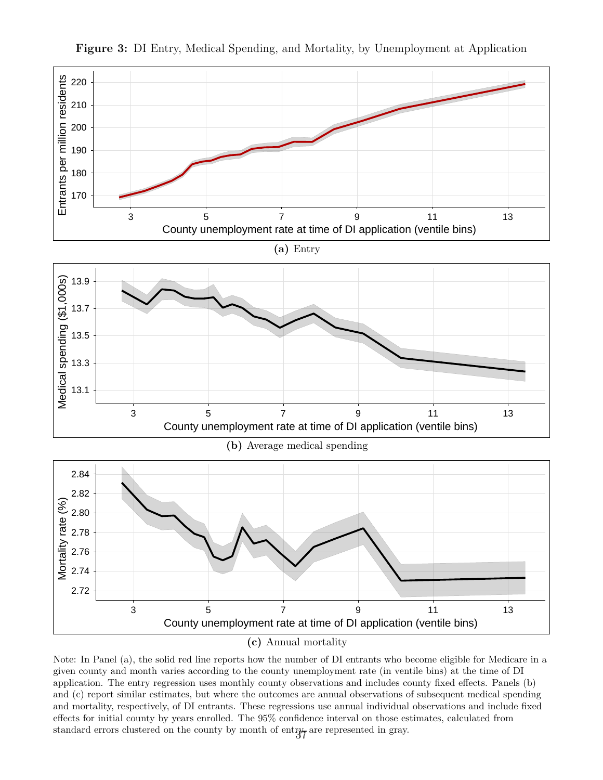

<span id="page-37-0"></span>**Figure 3:** DI Entry, Medical Spending, and Mortality, by Unemployment at Application

**(c)** Annual mortality

Note: In Panel (a), the solid red line reports how the number of DI entrants who become eligible for Medicare in a given county and month varies according to the county unemployment rate (in ventile bins) at the time of DI application. The entry regression uses monthly county observations and includes county fixed effects. Panels (b) and (c) report similar estimates, but where the outcomes are annual observations of subsequent medical spending and mortality, respectively, of DI entrants. These regressions use annual individual observations and include fixed effects for initial county by years enrolled. The 95% confidence interval on those estimates, calculated from standard errors clustered on the county by month of entry, are represented in gray.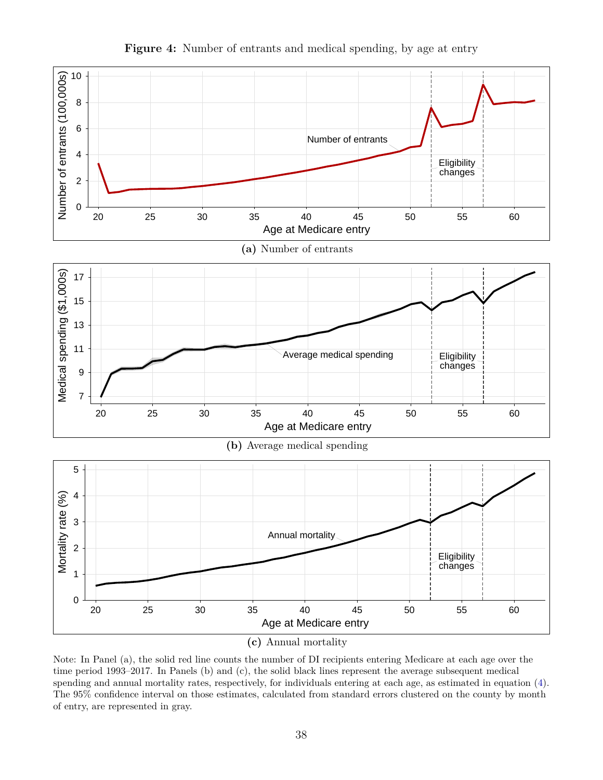<span id="page-38-0"></span>

**Figure 4:** Number of entrants and medical spending, by age at entry

Note: In Panel (a), the solid red line counts the number of DI recipients entering Medicare at each age over the time period 1993–2017. In Panels (b) and (c), the solid black lines represent the average subsequent medical spending and annual mortality rates, respectively, for individuals entering at each age, as estimated in equation [\(4\)](#page-19-1). The 95% confidence interval on those estimates, calculated from standard errors clustered on the county by month of entry, are represented in gray.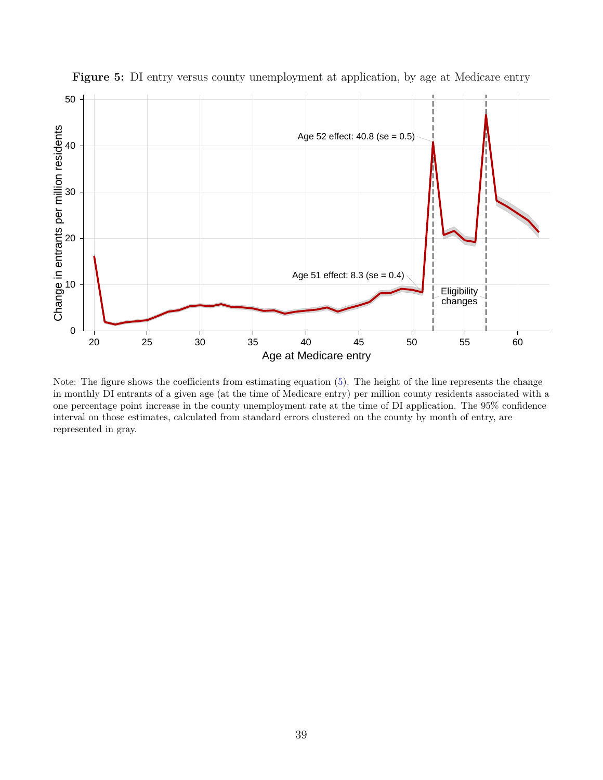

<span id="page-39-0"></span>**Figure 5:** DI entry versus county unemployment at application, by age at Medicare entry

Note: The figure shows the coefficients from estimating equation [\(5\)](#page-20-0). The height of the line represents the change in monthly DI entrants of a given age (at the time of Medicare entry) per million county residents associated with a one percentage point increase in the county unemployment rate at the time of DI application. The 95% confidence interval on those estimates, calculated from standard errors clustered on the county by month of entry, are represented in gray.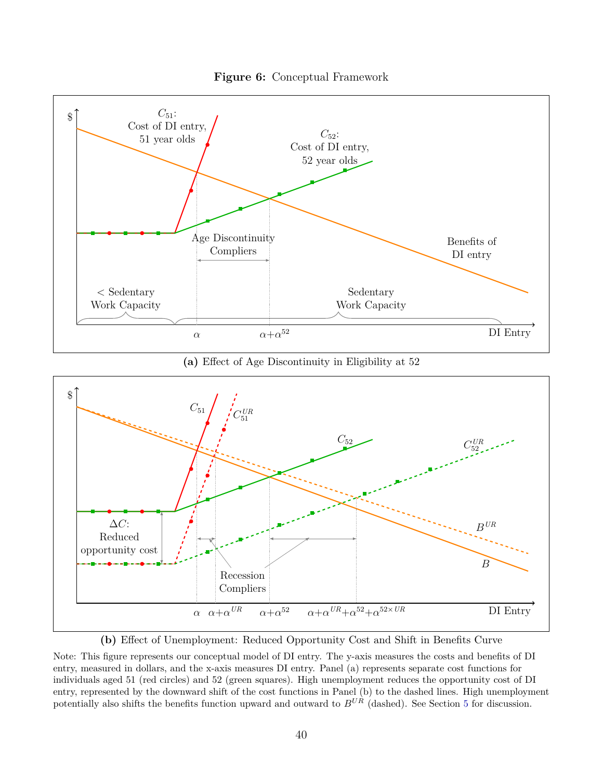

<span id="page-40-0"></span>

**(a)** Effect of Age Discontinuity in Eligibility at 52



**(b)** Effect of Unemployment: Reduced Opportunity Cost and Shift in Benefits Curve

Note: This figure represents our conceptual model of DI entry. The y-axis measures the costs and benefits of DI entry, measured in dollars, and the x-axis measures DI entry. Panel (a) represents separate cost functions for individuals aged 51 (red circles) and 52 (green squares). High unemployment reduces the opportunity cost of DI entry, represented by the downward shift of the cost functions in Panel (b) to the dashed lines. High unemployment potentially also shifts the benefits function upward and outward to *BUR* (dashed). See Section [5](#page-22-0) for discussion.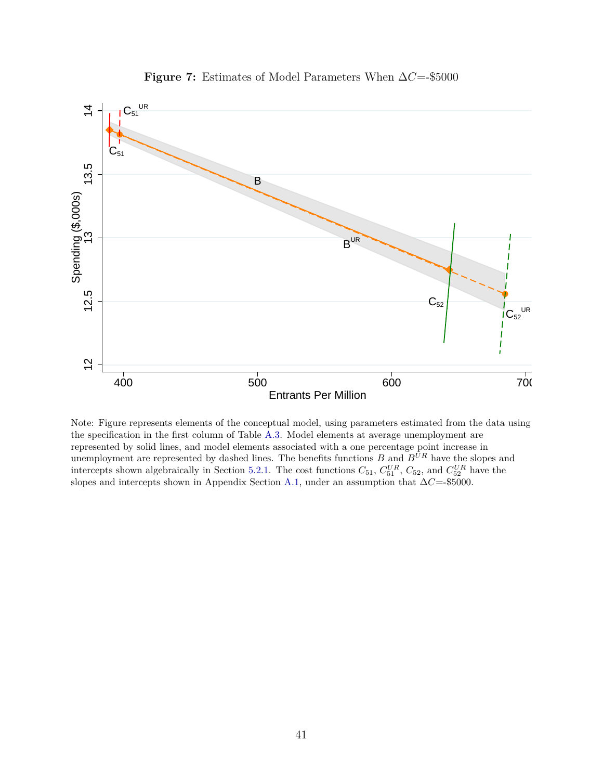<span id="page-41-0"></span>

**Figure 7:** Estimates of Model Parameters When ∆*C*=-\$5000

Note: Figure represents elements of the conceptual model, using parameters estimated from the data using the specification in the first column of Table [A.3.](#page-49-0) Model elements at average unemployment are represented by solid lines, and model elements associated with a one percentage point increase in unemployment are represented by dashed lines. The benefits functions *B* and *BUR* have the slopes and intercepts shown algebraically in Section [5.2.1.](#page-26-0) The cost functions  $C_{51}$ ,  $C_{51}^{UR}$ ,  $C_{52}$ , and  $C_{52}^{UR}$  have the slopes and intercepts shown in Appendix Section [A.1,](#page-43-0) under an assumption that ∆*C*=-\$5000.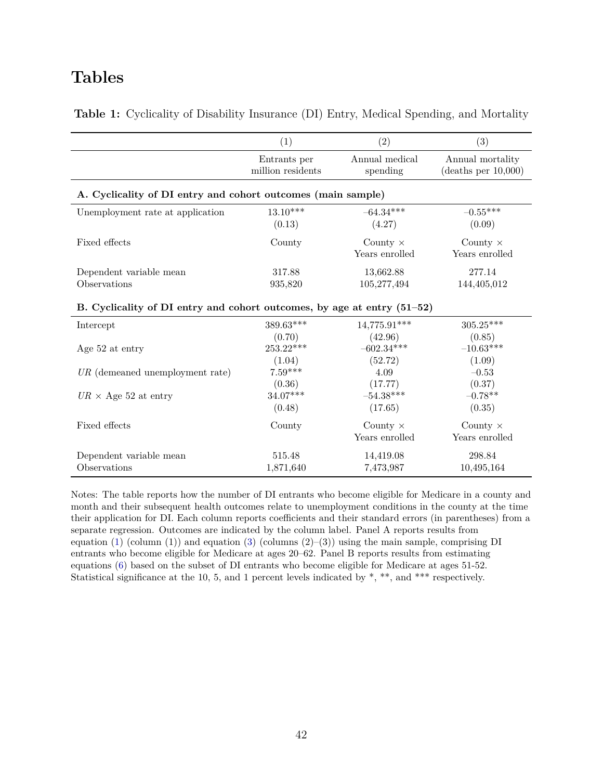### **Tables**

|                                                                         | (1)                               | (2)                        | (3)                                     |  |  |  |
|-------------------------------------------------------------------------|-----------------------------------|----------------------------|-----------------------------------------|--|--|--|
|                                                                         | Entrants per<br>million residents | Annual medical<br>spending | Annual mortality<br>(deaths per 10,000) |  |  |  |
| A. Cyclicality of DI entry and cohort outcomes (main sample)            |                                   |                            |                                         |  |  |  |
| Unemployment rate at application                                        | $13.10***$                        | $-64.34***$                | $-0.55***$                              |  |  |  |
|                                                                         | (0.13)                            | (4.27)                     | (0.09)                                  |  |  |  |
| Fixed effects                                                           | County                            | County $\times$            | County $\times$                         |  |  |  |
|                                                                         |                                   | Years enrolled             | Years enrolled                          |  |  |  |
| Dependent variable mean                                                 | 317.88                            | 13,662.88                  | 277.14                                  |  |  |  |
| Observations                                                            | 935,820                           | 105,277,494                | 144,405,012                             |  |  |  |
| B. Cyclicality of DI entry and cohort outcomes, by age at entry (51-52) |                                   |                            |                                         |  |  |  |
| Intercept                                                               | 389.63***                         | 14,775.91***               | $305.25***$                             |  |  |  |
|                                                                         | (0.70)                            | (42.96)                    | (0.85)                                  |  |  |  |
| Age 52 at entry                                                         | $253.22***$                       | $-602.34***$               | $-10.63***$                             |  |  |  |
|                                                                         | (1.04)                            | (52.72)                    | (1.09)                                  |  |  |  |
| $UR$ (demeaned unemployment rate)                                       | $7.59***$                         | 4.09                       | $-0.53$                                 |  |  |  |
|                                                                         | (0.36)                            | (17.77)                    | (0.37)                                  |  |  |  |
| $UR \times \text{Age } 52$ at entry                                     | $34.07***$                        | $-54.38***$                | $-0.78**$                               |  |  |  |
|                                                                         | (0.48)                            | (17.65)                    | (0.35)                                  |  |  |  |
| Fixed effects                                                           | County                            | County $\times$            | County $\times$                         |  |  |  |
|                                                                         |                                   | Years enrolled             | Years enrolled                          |  |  |  |
| Dependent variable mean                                                 | 515.48                            | 14,419.08                  | 298.84                                  |  |  |  |
| Observations                                                            | 1,871,640                         | 7,473,987                  | 10,495,164                              |  |  |  |

<span id="page-42-0"></span>**Table 1:** Cyclicality of Disability Insurance (DI) Entry, Medical Spending, and Mortality

Notes: The table reports how the number of DI entrants who become eligible for Medicare in a county and month and their subsequent health outcomes relate to unemployment conditions in the county at the time their application for DI. Each column reports coefficients and their standard errors (in parentheses) from a separate regression. Outcomes are indicated by the column label. Panel A reports results from equation [\(1\)](#page-16-0) (column (1)) and equation [\(3\)](#page-18-0) (columns  $(2)$ –(3)) using the main sample, comprising DI entrants who become eligible for Medicare at ages 20–62. Panel B reports results from estimating equations [\(6\)](#page-21-0) based on the subset of DI entrants who become eligible for Medicare at ages 51-52. Statistical significance at the 10, 5, and 1 percent levels indicated by \*, \*\*, and \*\*\* respectively.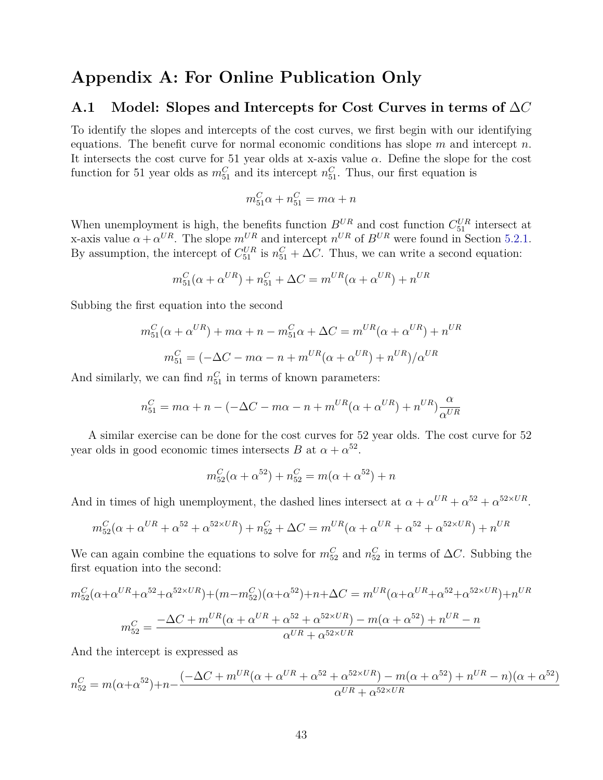### **Appendix A: For Online Publication Only**

#### <span id="page-43-0"></span>**A.1 Model: Slopes and Intercepts for Cost Curves in terms of** ∆*C*

To identify the slopes and intercepts of the cost curves, we first begin with our identifying equations. The benefit curve for normal economic conditions has slope *m* and intercept *n*. It intersects the cost curve for 51 year olds at x-axis value  $\alpha$ . Define the slope for the cost function for 51 year olds as  $m_{51}^C$  and its intercept  $n_{51}^C$ . Thus, our first equation is

$$
m_{51}^C \alpha + n_{51}^C = m\alpha + n
$$

When unemployment is high, the benefits function  $B^{UR}$  and cost function  $C_{51}^{UR}$  intersect at x-axis value  $\alpha + \alpha^{UR}$ . The slope  $m^{UR}$  and intercept  $n^{UR}$  of  $B^{UR}$  were found in Section [5.2.1.](#page-26-0) By assumption, the intercept of  $C_{51}^{UR}$  is  $n_{51}^C + \Delta C$ . Thus, we can write a second equation:

$$
m_{51}^{C}(\alpha + \alpha^{UR}) + n_{51}^{C} + \Delta C = m^{UR}(\alpha + \alpha^{UR}) + n^{UR}
$$

Subbing the first equation into the second

$$
m_{51}^C(\alpha + \alpha^{UR}) + m\alpha + n - m_{51}^C\alpha + \Delta C = m^{UR}(\alpha + \alpha^{UR}) + n^{UR}
$$

$$
m_{51}^C = (-\Delta C - m\alpha - n + m^{UR}(\alpha + \alpha^{UR}) + n^{UR})/\alpha^{UR}
$$

And similarly, we can find  $n_{51}^C$  in terms of known parameters:

$$
n_{51}^C = m\alpha + n - (-\Delta C - m\alpha - n + m^{UR}(\alpha + \alpha^{UR}) + n^{UR})\frac{\alpha}{\alpha^{UR}}
$$

A similar exercise can be done for the cost curves for 52 year olds. The cost curve for 52 year olds in good economic times intersects *B* at  $\alpha + \alpha^{52}$ .

$$
m_{52}^{C}(\alpha + \alpha^{52}) + n_{52}^{C} = m(\alpha + \alpha^{52}) + n
$$

And in times of high unemployment, the dashed lines intersect at  $\alpha + \alpha^{UR} + \alpha^{52} + \alpha^{52 \times UR}$ .

$$
m_{52}^{C}(\alpha + \alpha^{UR} + \alpha^{52} + \alpha^{52 \times UR}) + n_{52}^{C} + \Delta C = m^{UR}(\alpha + \alpha^{UR} + \alpha^{52} + \alpha^{52 \times UR}) + n^{UR}
$$

We can again combine the equations to solve for  $m_{52}^C$  and  $n_{52}^C$  in terms of  $\Delta C$ . Subbing the first equation into the second:

$$
m_{52}^{C}(\alpha + \alpha^{UR} + \alpha^{52} + \alpha^{52 \times UR}) + (m - m_{52}^{C})(\alpha + \alpha^{52}) + n + \Delta C = m^{UR}(\alpha + \alpha^{UR} + \alpha^{52} + \alpha^{52 \times UR}) + n^{UR}
$$

$$
m_{52}^{C} = \frac{-\Delta C + m^{UR}(\alpha + \alpha^{UR} + \alpha^{52} + \alpha^{52 \times UR}) - m(\alpha + \alpha^{52}) + n^{UR} - n}{\alpha^{UR} + \alpha^{52 \times UR}}
$$

And the intercept is expressed as

$$
n_{52}^C = m(\alpha + \alpha^{52}) + n - \frac{(-\Delta C + m^{UR}(\alpha + \alpha^{UR} + \alpha^{52} + \alpha^{52 \times UR}) - m(\alpha + \alpha^{52}) + n^{UR} - n)(\alpha + \alpha^{52})}{\alpha^{UR} + \alpha^{52 \times UR}}
$$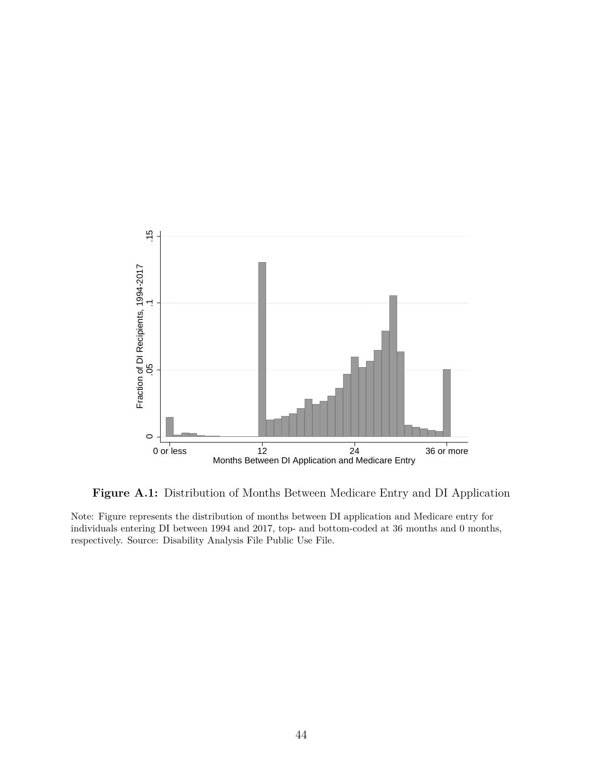<span id="page-44-0"></span>

**Figure A.1:** Distribution of Months Between Medicare Entry and DI Application

Note: Figure represents the distribution of months between DI application and Medicare entry for individuals entering DI between 1994 and 2017, top- and bottom-coded at 36 months and 0 months, respectively. Source: Disability Analysis File Public Use File.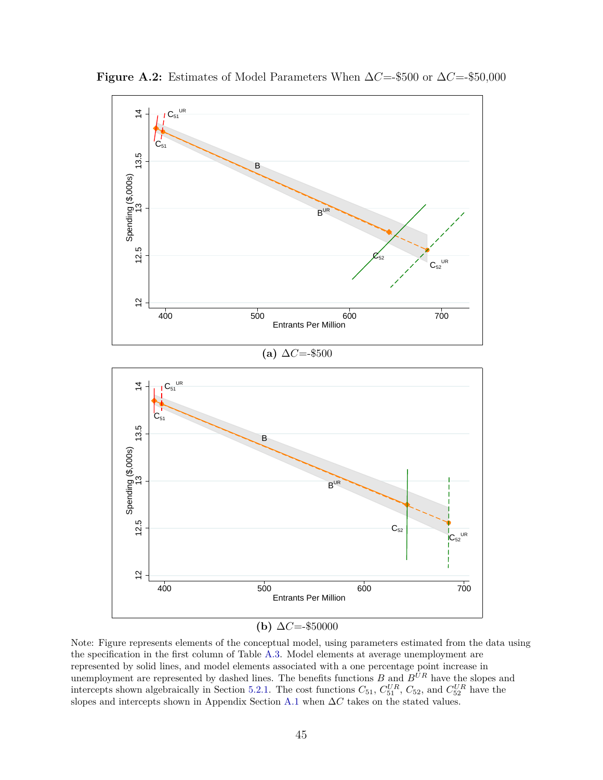

<span id="page-45-0"></span>**Figure A.2:** Estimates of Model Parameters When  $\Delta C = $500$  or  $\Delta C = $50,000$ 

Note: Figure represents elements of the conceptual model, using parameters estimated from the data using the specification in the first column of Table [A.3.](#page-49-0) Model elements at average unemployment are represented by solid lines, and model elements associated with a one percentage point increase in unemployment are represented by dashed lines. The benefits functions *B* and *BUR* have the slopes and intercepts shown algebraically in Section [5.2.1.](#page-26-0) The cost functions  $C_{51}$ ,  $C_{51}^{UR}$ ,  $C_{52}$ , and  $C_{52}^{UR}$  have the slopes and intercepts shown in Appendix Section [A.1](#page-43-0) when ∆*C* takes on the stated values.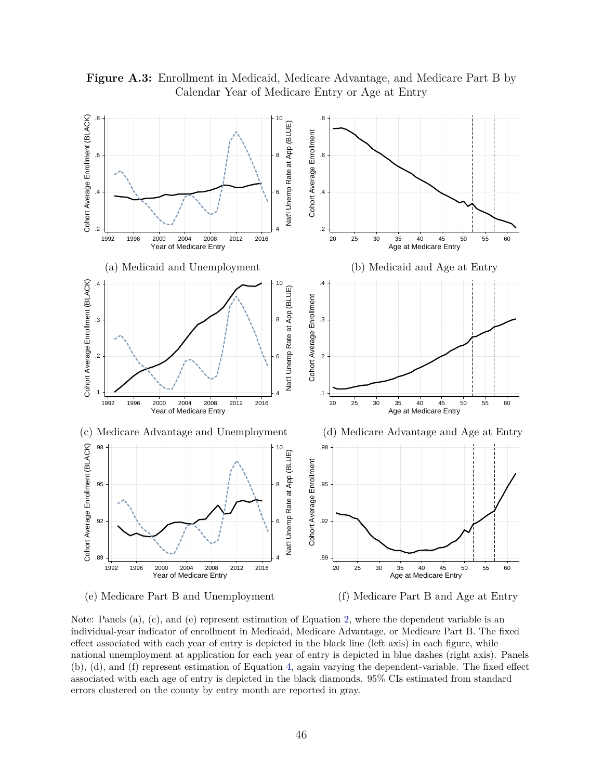

<span id="page-46-0"></span>**Figure A.3:** Enrollment in Medicaid, Medicare Advantage, and Medicare Part B by Calendar Year of Medicare Entry or Age at Entry

Note: Panels (a), (c), and (e) represent estimation of Equation [2,](#page-17-0) where the dependent variable is an individual-year indicator of enrollment in Medicaid, Medicare Advantage, or Medicare Part B. The fixed effect associated with each year of entry is depicted in the black line (left axis) in each figure, while national unemployment at application for each year of entry is depicted in blue dashes (right axis). Panels (b), (d), and (f) represent estimation of Equation [4,](#page-19-1) again varying the dependent-variable. The fixed effect associated with each age of entry is depicted in the black diamonds. 95% CIs estimated from standard errors clustered on the county by entry month are reported in gray.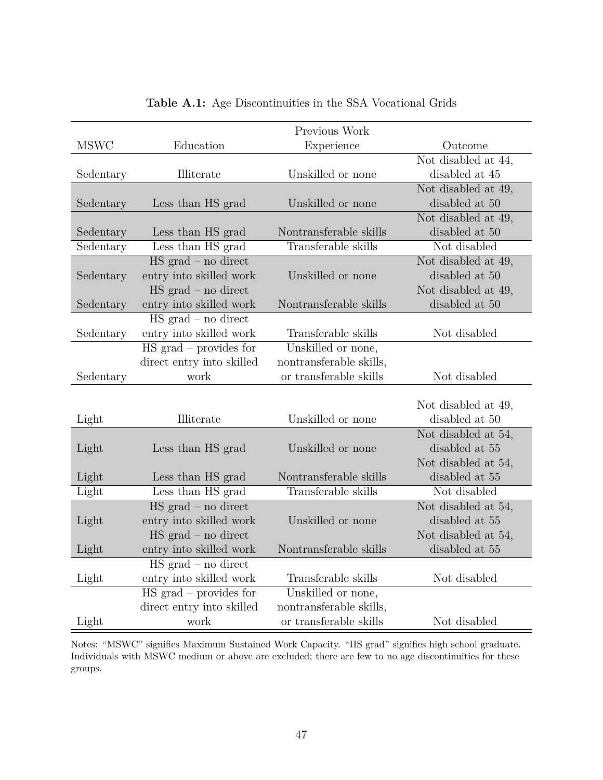<span id="page-47-0"></span>

|             |                                     | Previous Work           |                     |
|-------------|-------------------------------------|-------------------------|---------------------|
| <b>MSWC</b> | Education                           | Experience              | Outcome             |
|             |                                     |                         | Not disabled at 44, |
| Sedentary   | Illiterate                          | Unskilled or none       | disabled at 45      |
|             |                                     |                         | Not disabled at 49, |
| Sedentary   | Less than HS grad                   | Unskilled or none       | disabled at 50      |
|             |                                     |                         | Not disabled at 49, |
| Sedentary   | Less than HS grad                   | Nontransferable skills  | disabled at 50      |
| Sedentary   | Less than HS grad                   | Transferable skills     | Not disabled        |
|             | $HS grad - no direct$               |                         | Not disabled at 49, |
| Sedentary   | entry into skilled work             | Unskilled or none       | disabled at 50      |
|             | $HS grad - no direct$               |                         | Not disabled at 49, |
| Sedentary   | entry into skilled work             | Nontransferable skills  | disabled at 50      |
|             | $HS grad - no direct$               |                         |                     |
| Sedentary   | entry into skilled work             | Transferable skills     | Not disabled        |
|             | $\overline{HS}$ grad – provides for | Unskilled or none,      |                     |
|             | direct entry into skilled           | nontransferable skills, |                     |
| Sedentary   | work                                | or transferable skills  | Not disabled        |
|             |                                     |                         |                     |
|             |                                     |                         | Not disabled at 49, |
| Light       | Illiterate                          | Unskilled or none       | disabled at 50      |
|             |                                     |                         | Not disabled at 54, |
| Light       | Less than HS grad                   | Unskilled or none       | disabled at 55      |
|             |                                     |                         | Not disabled at 54, |
| Light       | Less than HS grad                   | Nontransferable skills  | disabled at $55\,$  |
| Light       | Less than HS grad                   | Transferable skills     | Not disabled        |
|             | $HS grad - no direct$               |                         | Not disabled at 54, |
| Light       | entry into skilled work             | Unskilled or none       | disabled at 55      |
|             | $HS grad - no direct$               |                         | Not disabled at 54, |
| Light       | entry into skilled work             | Nontransferable skills  | disabled at 55      |
|             | $\overline{HS}$ grad – no direct    |                         |                     |
| Light       | entry into skilled work             | Transferable skills     | Not disabled        |
|             | $\text{HS grad}$ – provides for     | Unskilled or none,      |                     |
|             | direct entry into skilled           | nontransferable skills, |                     |
| Light       | work                                | or transferable skills  | Not disabled        |

| <b>Table A.1:</b> Age Discontinuities in the SSA Vocational Grids |  |  |  |  |  |  |  |
|-------------------------------------------------------------------|--|--|--|--|--|--|--|
|-------------------------------------------------------------------|--|--|--|--|--|--|--|

Notes: "MSWC" signifies Maximum Sustained Work Capacity. "HS grad" signifies high school graduate. Individuals with MSWC medium or above are excluded; there are few to no age discontinuities for these groups.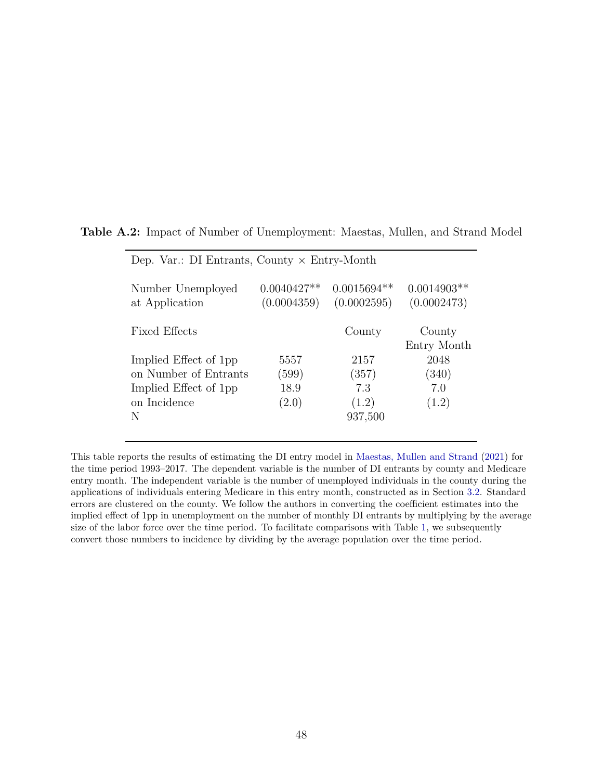| Dep. Var.: DI Entrants, County $\times$ Entry-Month |                              |                              |                              |  |  |
|-----------------------------------------------------|------------------------------|------------------------------|------------------------------|--|--|
| Number Unemployed<br>at Application                 | $0.0040427**$<br>(0.0004359) | $0.0015694**$<br>(0.0002595) | $0.0014903**$<br>(0.0002473) |  |  |
| Fixed Effects                                       |                              | County                       | County<br>Entry Month        |  |  |
| Implied Effect of 1pp                               | 5557                         | 2157                         | 2048                         |  |  |
| on Number of Entrants                               | (599)                        | (357)                        | (340)                        |  |  |
| Implied Effect of 1pp                               | 18.9                         | 7.3                          | 7.0                          |  |  |
| on Incidence                                        | (2.0)                        | (1.2)                        | (1.2)                        |  |  |
| N                                                   |                              | 937,500                      |                              |  |  |

<span id="page-48-0"></span>**Table A.2:** Impact of Number of Unemployment: Maestas, Mullen, and Strand Model

This table reports the results of estimating the DI entry model in [Maestas, Mullen and Strand](#page-33-1) [\(2021\)](#page-33-1) for the time period 1993–2017. The dependent variable is the number of DI entrants by county and Medicare entry month. The independent variable is the number of unemployed individuals in the county during the applications of individuals entering Medicare in this entry month, constructed as in Section [3.2.](#page-13-0) Standard errors are clustered on the county. We follow the authors in converting the coefficient estimates into the implied effect of 1pp in unemployment on the number of monthly DI entrants by multiplying by the average size of the labor force over the time period. To facilitate comparisons with Table [1,](#page-42-0) we subsequently convert those numbers to incidence by dividing by the average population over the time period.